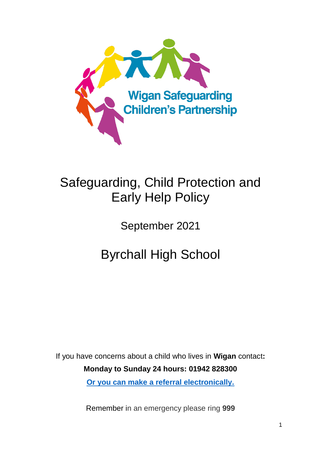

# Safeguarding, Child Protection and Early Help Policy

September 2021

Byrchall High School

If you have concerns about a child who lives in **Wigan** contact**: Monday to Sunday 24 hours: 01942 828300 [Or you can make a referral electronically.](https://www.wigan.gov.uk/Resident/Health-Social-Care/Children-and-young-people/Child-protection/WorriedAboutAChild.aspx)**

Remember in an emergency please ring **999**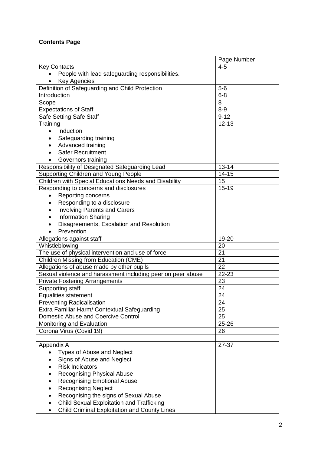# **Contents Page**

|                                                                                                         | Page Number     |
|---------------------------------------------------------------------------------------------------------|-----------------|
| <b>Key Contacts</b>                                                                                     | $4 - 5$         |
| People with lead safeguarding responsibilities.                                                         |                 |
| <b>Key Agencies</b>                                                                                     |                 |
| Definition of Safeguarding and Child Protection                                                         | $5-6$           |
| Introduction                                                                                            | $6 - 8$         |
| Scope                                                                                                   | 8               |
| <b>Expectations of Staff</b>                                                                            | $8-9$           |
| Safe Setting Safe Staff                                                                                 | $9 - 12$        |
| Training                                                                                                | $12 - 13$       |
| Induction<br>$\bullet$                                                                                  |                 |
| Safeguarding training                                                                                   |                 |
| Advanced training                                                                                       |                 |
| <b>Safer Recruitment</b>                                                                                |                 |
| Governors training                                                                                      |                 |
| Responsibility of Designated Safeguarding Lead                                                          | $13 - 14$       |
| Supporting Children and Young People                                                                    | $14 - 15$       |
| Children with Special Educations Needs and Disability                                                   | $\overline{15}$ |
| Responding to concerns and disclosures                                                                  | $15 - 19$       |
| Reporting concerns<br>$\bullet$                                                                         |                 |
| Responding to a disclosure                                                                              |                 |
| <b>Involving Parents and Carers</b>                                                                     |                 |
| <b>Information Sharing</b><br>$\bullet$                                                                 |                 |
| Disagreements, Escalation and Resolution                                                                |                 |
| Prevention                                                                                              |                 |
| Allegations against staff                                                                               | 19-20           |
| Whistleblowing                                                                                          | 20              |
| The use of physical intervention and use of force                                                       | 21              |
| <b>Children Missing from Education (CME)</b>                                                            | 21              |
| Allegations of abuse made by other pupils                                                               | 22              |
| Sexual violence and harassment including peer on peer abuse                                             | 22-23           |
| <b>Private Fostering Arrangements</b>                                                                   | 23              |
| Supporting staff                                                                                        | 24              |
| Equalities statement                                                                                    | 24              |
| <b>Preventing Radicalisation</b>                                                                        | 24              |
| Extra Familiar Harm/ Contextual Safeguarding                                                            | 25              |
| Domestic Abuse and Coercive Control                                                                     | 25              |
| Monitoring and Evaluation                                                                               | 25-26           |
| Corona Virus (Covid 19)                                                                                 | 26              |
|                                                                                                         |                 |
| Appendix A                                                                                              | 27-37           |
| <b>Types of Abuse and Neglect</b>                                                                       |                 |
| Signs of Abuse and Neglect<br><b>Risk Indicators</b>                                                    |                 |
|                                                                                                         |                 |
| <b>Recognising Physical Abuse</b>                                                                       |                 |
| <b>Recognising Emotional Abuse</b>                                                                      |                 |
| <b>Recognising Neglect</b>                                                                              |                 |
| Recognising the signs of Sexual Abuse                                                                   |                 |
| <b>Child Sexual Exploitation and Trafficking</b><br><b>Child Criminal Exploitation and County Lines</b> |                 |
|                                                                                                         |                 |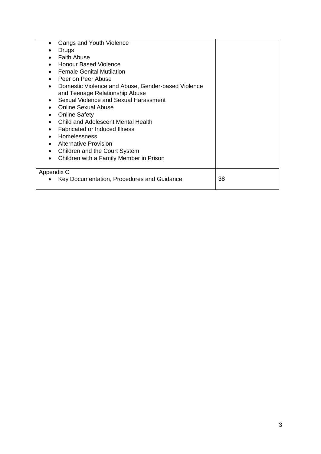| Gangs and Youth Violence                           |    |
|----------------------------------------------------|----|
| Drugs                                              |    |
| <b>Faith Abuse</b>                                 |    |
| <b>Honour Based Violence</b>                       |    |
| <b>Female Genital Mutilation</b>                   |    |
| Peer on Peer Abuse                                 |    |
| Domestic Violence and Abuse, Gender-based Violence |    |
| and Teenage Relationship Abuse                     |    |
| Sexual Violence and Sexual Harassment              |    |
| Online Sexual Abuse                                |    |
| <b>Online Safety</b>                               |    |
| Child and Adolescent Mental Health                 |    |
| <b>Fabricated or Induced Illness</b>               |    |
| <b>Homelessness</b>                                |    |
| <b>Alternative Provision</b>                       |    |
| Children and the Court System                      |    |
| Children with a Family Member in Prison            |    |
|                                                    |    |
| Appendix C                                         |    |
| Key Documentation, Procedures and Guidance         | 38 |
|                                                    |    |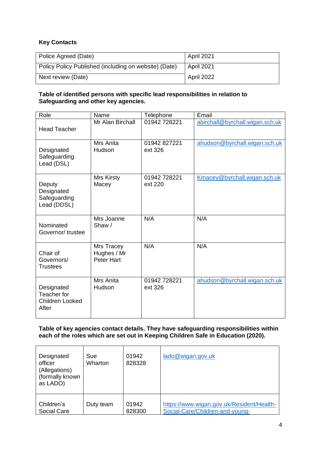# **Key Contacts**

| Police Agreed (Date)                                  | April 2021 |
|-------------------------------------------------------|------------|
| Policy Policy Published (including on website) (Date) | April 2021 |
| Next review (Date)                                    | April 2022 |

## **Table of identified persons with specific lead responsibilities in relation to Safeguarding and other key agencies.**

| Role                                                  | Name                                           | Telephone               | Email                           |
|-------------------------------------------------------|------------------------------------------------|-------------------------|---------------------------------|
| <b>Head Teacher</b>                                   | Mr Alan Birchall                               | 01942 728221            | abirchall@byrchall.wigan.sch.uk |
| Designated<br>Safeguarding<br>Lead (DSL)              | Mrs Anita<br>Hudson                            | 01942 827221<br>ext 326 | ahudson@byrchall.wigan.sch.uk   |
| Deputy<br>Designated<br>Safeguarding<br>Lead (DDSL)   | Mrs Kirsty<br>Macey                            | 01942 728221<br>ext 220 | Kmacey@byrchall.wigan.sch.uk    |
| Nominated<br>Governor/trustee                         | Mrs Joanne<br>Shaw/                            | N/A                     | N/A                             |
| Chair of<br>Governors/<br><b>Trustees</b>             | Mrs Tracey<br>Hughes / Mr<br><b>Peter Hart</b> | N/A                     | N/A                             |
| Designated<br>Teacher for<br>Children Looked<br>After | Mrs Anita<br>Hudson                            | 01942 728221<br>ext 326 | ahudson@byrchall.wigan.sch.uk   |

**Table of key agencies contact details. They have safeguarding responsibilities within each of the roles which are set out in Keeping Children Safe in Education (2020).**

| Designated<br>officer<br>(Allegations)<br>(formally known<br>as LADO) | Sue<br><b>Wharton</b> | 01942<br>828328 | lado@wigan.gov.uk                         |
|-----------------------------------------------------------------------|-----------------------|-----------------|-------------------------------------------|
| Children's                                                            | Duty team             | 01942           | https://www.wigan.gov.uk/Resident/Health- |
| Social Care                                                           |                       | 828300          | Social-Care/Children-and-young-           |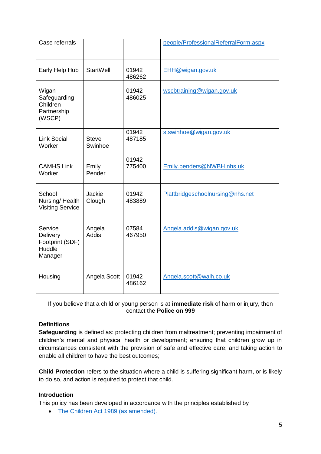| Case referrals                                              |                         |                 | people/ProfessionalReferralForm.aspx |
|-------------------------------------------------------------|-------------------------|-----------------|--------------------------------------|
| Early Help Hub                                              | StartWell               | 01942<br>486262 | EHH@wigan.gov.uk                     |
| Wigan<br>Safeguarding<br>Children<br>Partnership<br>(WSCP)  |                         | 01942<br>486025 | wscbtraining@wigan.gov.uk            |
| <b>Link Social</b><br>Worker                                | <b>Steve</b><br>Swinhoe | 01942<br>487185 | s.swinhoe@wigan.gov.uk               |
| <b>CAMHS Link</b><br>Worker                                 | Emily<br>Pender         | 01942<br>775400 | Emily.penders@NWBH.nhs.uk            |
| School<br>Nursing/Health<br><b>Visiting Service</b>         | Jackie<br>Clough        | 01942<br>483889 | Plattbridgeschoolnursing@nhs.net     |
| Service<br>Delivery<br>Footprint (SDF)<br>Huddle<br>Manager | Angela<br>Addis         | 07584<br>467950 | Angela.addis@wigan.gov.uk            |
| Housing                                                     | Angela Scott            | 01942<br>486162 | Angela.scott@walh.co.uk              |

If you believe that a child or young person is at **immediate risk** of harm or injury, then contact the **Police on 999**

# **Definitions**

**Safeguarding** is defined as: protecting children from maltreatment; preventing impairment of children's mental and physical health or development; ensuring that children grow up in circumstances consistent with the provision of safe and effective care; and taking action to enable all children to have the best outcomes;

**Child Protection** refers to the situation where a child is suffering significant harm, or is likely to do so, and action is required to protect that child.

#### **Introduction**

This policy has been developed in accordance with the principles established by

• [The Children Act 1989 \(as amended\).](https://www.legislation.gov.uk/ukpga/1989/41/contents)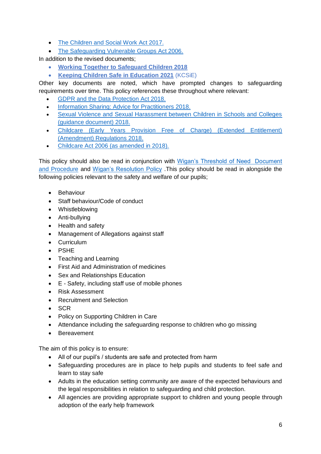- [The Children and Social Work Act 2017.](https://www.legislation.gov.uk/ukpga/2017/16/contents/enacted)
- [The Safeguarding Vulnerable Groups Act 2006.](https://www.legislation.gov.uk/ukpga/2006/47/contents)

In addition to the revised documents;

- **[Working Together to Safeguard Children 2018](https://www.gov.uk/government/publications/working-together-to-safeguard-children--2)**
- **Keeping Children Safe in Education 2021** (KCSiE)

Other key documents are noted, which have prompted changes to safeguarding requirements over time. This policy references these throughout where relevant:

- [GDPR and the Data Protection Act 2018.](https://www.gov.uk/data-protection)
- [Information Sharing: Advice for Practitioners 2018.](https://www.gov.uk/government/publications/safeguarding-practitioners-information-sharing-advice)
- [Sexual Violence and Sexual Harassment between Children in Schools and Colleges](https://www.gov.uk/government/publications/sexual-violence-and-sexual-harassment-between-children-in-schools-and-colleges)  [\(guidance document\)](https://www.gov.uk/government/publications/sexual-violence-and-sexual-harassment-between-children-in-schools-and-colleges) 2018.
- [Childcare \(Early Years Provision Free of Charge\) \(Extended Entitlement\)](https://www.gov.uk/government/publications/disqualification-under-the-childcare-act-2006/disqualification-under-the-childcare-act-2006)  [\(Amendment\) Regulations 2018.](https://www.gov.uk/government/publications/disqualification-under-the-childcare-act-2006/disqualification-under-the-childcare-act-2006)
- [Childcare Act 2006 \(as amended in 2018\).](https://www.gov.uk/government/publications/disqualification-under-the-childcare-act-2006)

This policy should also be read in conjunction with [Wigan's Threshold of Need Document](https://www.wiganlscb.com/Parent/Thresholds-of-Need.aspx)  [and Procedure](https://www.wiganlscb.com/Parent/Thresholds-of-Need.aspx) and [Wigan's Resolution Policy](https://www.wiganlscb.com/Docs/PDF/Professional/Resolution-Protocol-COVID-19-revision.pdf) .This policy should be read in alongside the following policies relevant to the safety and welfare of our pupils;

- **•** Behaviour
- Staff behaviour/Code of conduct
- Whistleblowing
- Anti-bullying
- Health and safety
- Management of Allegations against staff
- Curriculum
- PSHE
- Teaching and Learning
- First Aid and Administration of medicines
- Sex and Relationships Education
- E Safety, including staff use of mobile phones
- Risk Assessment
- Recruitment and Selection
- SCR
- Policy on Supporting Children in Care
- Attendance including the safeguarding response to children who go missing
- Bereavement

The aim of this policy is to ensure:

- All of our pupil's / students are safe and protected from harm
- Safeguarding procedures are in place to help pupils and students to feel safe and learn to stay safe
- Adults in the education setting community are aware of the expected behaviours and the legal responsibilities in relation to safeguarding and child protection.
- All agencies are providing appropriate support to children and young people through adoption of the early help framework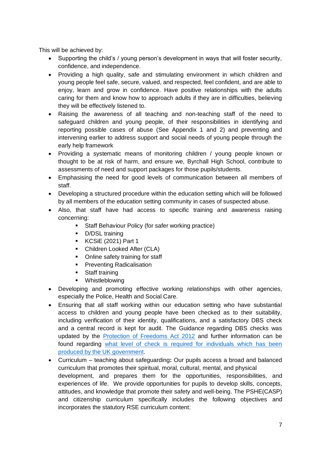This will be achieved by:

- Supporting the child's / young person's development in ways that will foster security, confidence, and independence.
- Providing a high quality, safe and stimulating environment in which children and young people feel safe, secure, valued, and respected, feel confident, and are able to enjoy, learn and grow in confidence. Have positive relationships with the adults caring for them and know how to approach adults if they are in difficulties, believing they will be effectively listened to.
- Raising the awareness of all teaching and non-teaching staff of the need to safeguard children and young people, of their responsibilities in identifying and reporting possible cases of abuse (See Appendix 1 and 2) and preventing and intervening earlier to address support and social needs of young people through the early help framework
- Providing a systematic means of monitoring children / young people known or thought to be at risk of harm, and ensure we, Byrchall High School, contribute to assessments of need and support packages for those pupils/students.
- Emphasising the need for good levels of communication between all members of staff.
- Developing a structured procedure within the education setting which will be followed by all members of the education setting community in cases of suspected abuse.
- Also, that staff have had access to specific training and awareness raising concerning:
	- **Staff Behaviour Policy (for safer working practice)**
	- **-** D/DSL training
	- **KCSiE (2021) Part 1**
	- **•** Children Looked After (CLA)
	- Online safety training for staff
	- **Preventing Radicalisation**
	- **Staff training**
	- **•** Whistleblowing
- Developing and promoting effective working relationships with other agencies, especially the Police, Health and Social Care.
- Ensuring that all staff working within our education setting who have substantial access to children and young people have been checked as to their suitability, including verification of their identity, qualifications, and a satisfactory DBS check and a central record is kept for audit. The Guidance regarding DBS checks was updated by the [Protection of Freedoms Act 2012](https://www.legislation.gov.uk/ukpga/2012/9/contents) and further information can be found regarding [what level of check is required for individuals which has been](https://www.gov.uk/dbs-check-applicant-criminal-record)  [produced by the UK government.](https://www.gov.uk/dbs-check-applicant-criminal-record)
- Curriculum teaching about safeguarding**:** Our pupils access a broad and balanced curriculum that promotes their spiritual, moral, cultural, mental, and physical development, and prepares them for the opportunities, responsibilities, and experiences of life. We provide opportunities for pupils to develop skills, concepts, attitudes, and knowledge that promote their safety and well-being. The PSHE(CASP) and citizenship curriculum specifically includes the following objectives and incorporates the statutory RSE curriculum content: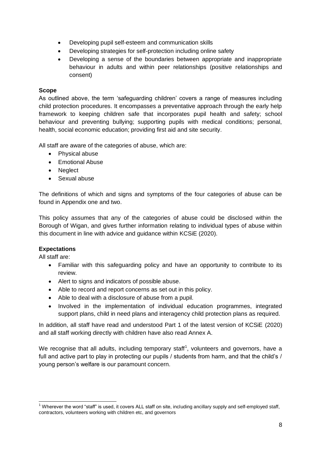- Developing pupil self-esteem and communication skills
- Developing strategies for self-protection including online safety
- Developing a sense of the boundaries between appropriate and inappropriate behaviour in adults and within peer relationships (positive relationships and consent)

# **Scope**

As outlined above, the term 'safeguarding children' covers a range of measures including child protection procedures. It encompasses a preventative approach through the early help framework to keeping children safe that incorporates pupil health and safety; school behaviour and preventing bullying; supporting pupils with medical conditions; personal, health, social economic education; providing first aid and site security.

All staff are aware of the categories of abuse, which are:

- Physical abuse
- Emotional Abuse
- Neglect
- Sexual abuse

The definitions of which and signs and symptoms of the four categories of abuse can be found in Appendix one and two.

This policy assumes that any of the categories of abuse could be disclosed within the Borough of Wigan, and gives further information relating to individual types of abuse within this document in line with advice and guidance within KCSiE (2020).

# **Expectations**

All staff are:

- Familiar with this safeguarding policy and have an opportunity to contribute to its review.
- Alert to signs and indicators of possible abuse.
- Able to record and report concerns as set out in this policy.
- Able to deal with a disclosure of abuse from a pupil.
- Involved in the implementation of individual education programmes, integrated support plans, child in need plans and interagency child protection plans as required.

In addition, all staff have read and understood Part 1 of the latest version of KCSiE (2020) and all staff working directly with children have also read Annex A.

We recognise that all adults, including temporary staff<sup>1</sup>, volunteers and governors, have a full and active part to play in protecting our pupils / students from harm, and that the child's / young person's welfare is our paramount concern.

 $\overline{a}$  $1$  Wherever the word "staff" is used, it covers ALL staff on site, including ancillary supply and self-employed staff, contractors, volunteers working with children etc, and governors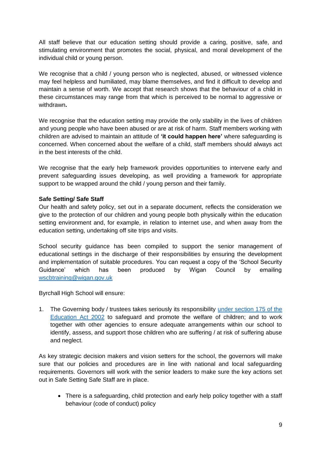All staff believe that our education setting should provide a caring, positive, safe, and stimulating environment that promotes the social, physical, and moral development of the individual child or young person.

We recognise that a child / young person who is neglected, abused, or witnessed violence may feel helpless and humiliated, may blame themselves, and find it difficult to develop and maintain a sense of worth. We accept that research shows that the behaviour of a child in these circumstances may range from that which is perceived to be normal to aggressive or withdrawn**.** 

We recognise that the education setting may provide the only stability in the lives of children and young people who have been abused or are at risk of harm. Staff members working with children are advised to maintain an attitude of **'it could happen here'** where safeguarding is concerned. When concerned about the welfare of a child, staff members should always act in the best interests of the child.

We recognise that the early help framework provides opportunities to intervene early and prevent safeguarding issues developing, as well providing a framework for appropriate support to be wrapped around the child / young person and their family.

## **Safe Setting/ Safe Staff**

Our health and safety policy, set out in a separate document, reflects the consideration we give to the protection of our children and young people both physically within the education setting environment and, for example, in relation to internet use, and when away from the education setting, undertaking off site trips and visits.

School security guidance has been compiled to support the senior management of educational settings in the discharge of their responsibilities by ensuring the development and implementation of suitable procedures. You can request a copy of the 'School Security Guidance' which has been produced by Wigan Council by emailing [wscbtraining@wigan.gov.uk](mailto:wscbtraining@wigan.gov.uk)

Byrchall High School will ensure:

1. The Governing body / trustees takes seriously its responsibility under section 175 of the [Education Act 2002](https://www.legislation.gov.uk/ukpga/2002/32/section/175) to safeguard and promote the welfare of children; and to work together with other agencies to ensure adequate arrangements within our school to identify, assess, and support those children who are suffering / at risk of suffering abuse and neglect.

As key strategic decision makers and vision setters for the school, the governors will make sure that our policies and procedures are in line with national and local safeguarding requirements. Governors will work with the senior leaders to make sure the key actions set out in Safe Setting Safe Staff are in place.

• There is a safeguarding, child protection and early help policy together with a staff behaviour (code of conduct) policy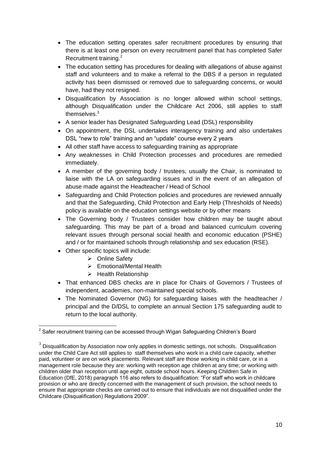- The education setting operates safer recruitment procedures by ensuring that there is at least one person on every recruitment panel that has completed Safer Recruitment training.<sup>2</sup>
- The education setting has procedures for dealing with allegations of abuse against staff and volunteers and to make a referral to the DBS if a person in regulated activity has been dismissed or removed due to safeguarding concerns, or would have, had they not resigned.
- Disqualification by Association is no longer allowed within school settings, although Disqualification under the Childcare Act 2006, still applies to staff themselves<sup>3</sup>
- A senior leader has Designated Safeguarding Lead (DSL) responsibility
- On appointment, the DSL undertakes interagency training and also undertakes DSL "new to role" training and an "update" course every 2 years
- All other staff have access to safeguarding training as appropriate
- Any weaknesses in Child Protection processes and procedures are remedied immediately.
- A member of the governing body / trustees, usually the Chair, is nominated to liaise with the LA on safeguarding issues and in the event of an allegation of abuse made against the Headteacher / Head of School
- Safeguarding and Child Protection policies and procedures are reviewed annually and that the Safeguarding, Child Protection and Early Help (Thresholds of Needs) policy is available on the education settings website or by other means
- The Governing body / Trustees consider how children may be taught about safeguarding. This may be part of a broad and balanced curriculum covering relevant issues through personal social health and economic education (PSHE) and / or for maintained schools through relationship and sex education (RSE).
- Other specific topics will include:
	- **▶ Online Safety**
	- $\triangleright$  Emotional/Mental Health
	- $\triangleright$  Health Relationship
- That enhanced DBS checks are in place for Chairs of Governors / Trustees of independent, academies, non-maintained special schools.
- The Nominated Governor (NG) for safeguarding liaises with the headteacher / principal and the D/DSL to complete an annual Section 175 safeguarding audit to return to the local authority.

<sup>-</sup> $^{\rm 2}$  Safer recruitment training can be accessed through Wigan Safeguarding Children's Board

 $3$  Disqualification by Association now only applies in domestic settings, not schools. Disqualification under the Child Care Act still applies to staff themselves who work in a child care capacity, whether paid, volunteer or are on work placements. Relevant staff are those working in child care, or in a management role because they are: working with reception age children at any time; or working with children older than reception until age eight, outside school hours. Keeping Children Safe in Education (DfE, 2018) paragraph 116 also refers to disqualification: "For staff who work in childcare provision or who are directly concerned with the management of such provision, the school needs to ensure that appropriate checks are carried out to ensure that individuals are not disqualified under the Childcare (Disqualification) Regulations 2009".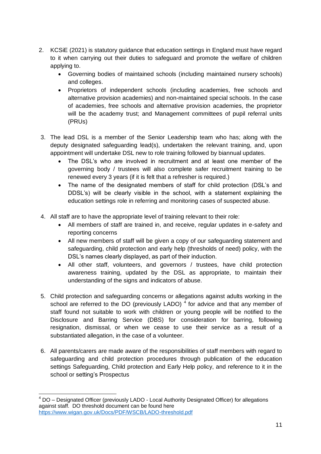- 2. KCSiE (2021) is statutory guidance that education settings in England must have regard to it when carrying out their duties to safeguard and promote the welfare of children applying to.
	- Governing bodies of maintained schools (including maintained nursery schools) and colleges.
	- Proprietors of independent schools (including academies, free schools and alternative provision academies) and non-maintained special schools. In the case of academies, free schools and alternative provision academies, the proprietor will be the academy trust; and Management committees of pupil referral units (PRUs)
- 3. The lead DSL is a member of the Senior Leadership team who has; along with the deputy designated safeguarding lead(s), undertaken the relevant training, and, upon appointment will undertake DSL new to role training followed by biannual updates.
	- The DSL's who are involved in recruitment and at least one member of the governing body / trustees will also complete safer recruitment training to be renewed every 3 years (if it is felt that a refresher is required.)
	- The name of the designated members of staff for child protection (DSL's and DDSL's) will be clearly visible in the school, with a statement explaining the education settings role in referring and monitoring cases of suspected abuse.
- 4. All staff are to have the appropriate level of training relevant to their role:
	- All members of staff are trained in, and receive, regular updates in e-safety and reporting concerns
	- All new members of staff will be given a copy of our safeguarding statement and safeguarding, child protection and early help (thresholds of need) policy, with the DSL's names clearly displayed, as part of their induction.
	- All other staff, volunteers, and governors / trustees, have child protection awareness training, updated by the DSL as appropriate, to maintain their understanding of the signs and indicators of abuse.
- 5. Child protection and safeguarding concerns or allegations against adults working in the school are referred to the DO (previously LADO)<sup>4</sup> for advice and that any member of staff found not suitable to work with children or young people will be notified to the Disclosure and Barring Service (DBS) for consideration for barring, following resignation, dismissal, or when we cease to use their service as a result of a substantiated allegation, in the case of a volunteer.
- 6. All parents/carers are made aware of the responsibilities of staff members with regard to safeguarding and child protection procedures through publication of the education settings Safeguarding, Child protection and Early Help policy, and reference to it in the school or setting's Prospectus

 $\overline{a}$ <sup>4</sup> DO – Designated Officer (previously LADO - Local Authority Designated Officer) for allegations against staff. DO threshold document can be found here <https://www.wigan.gov.uk/Docs/PDF/WSCB/LADO-threshold.pdf>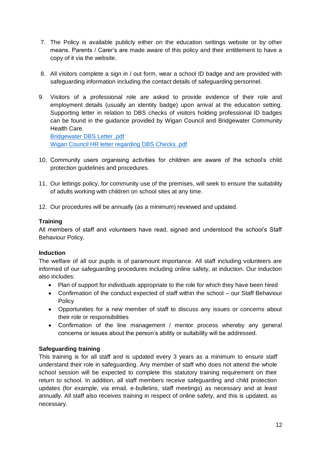- 7. The Policy is available publicly either on the education settings website or by other means. Parents / Carer's are made aware of this policy and their entitlement to have a copy of it via the website.
- 8. All visitors complete a sign in / out form, wear a school ID badge and are provided with safeguarding information including the contact details of safeguarding personnel.
- 9. Visitors of a professional role are asked to provide evidence of their role and employment details (usually an identity badge) upon arrival at the education setting. Supporting letter in relation to DBS checks of visitors holding professional ID badges can be found in the guidance provided by Wigan Council and Bridgewater Community Health Care.

[Bridgewater DBS Letter .pdf](file://///wig-vmw-p-fsw03/Partnership%20and%20Safeguarding/Workforce%20Development%20and%20Engagement%20Team/Lancaster%20University%20Conference%20-%20IPVAM/Karina%20Warwick/Bridgewater%20DBS%20Letter%20.pdf) [Wigan Council HR letter regarding DBS Checks .pdf](file://///wig-vmw-p-fsw03/Partnership%20and%20Safeguarding/Workforce%20Development%20and%20Engagement%20Team/Lancaster%20University%20Conference%20-%20IPVAM/Karina%20Warwick/Wigan%20Council%20HR%20letter%20regarding%20DBS%20Checks%20.pdf)

- 10. Community users organising activities for children are aware of the school's child protection guidelines and procedures.
- 11. Our lettings policy, for community use of the premises, will seek to ensure the suitability of adults working with children on school sites at any time.
- 12. Our procedures will be annually (as a minimum) reviewed and updated.

## **Training**

All members of staff and volunteers have read, signed and understood the school's Staff Behaviour Policy.

#### **Induction**

The welfare of all our pupils is of paramount importance. All staff including volunteers are informed of our safeguarding procedures including online safety, at induction. Our induction also includes:

- Plan of support for individuals appropriate to the role for which they have been hired
- Confirmation of the conduct expected of staff within the school our Staff Behaviour **Policy**
- Opportunities for a new member of staff to discuss any issues or concerns about their role or responsibilities
- Confirmation of the line management / mentor process whereby any general concerns or issues about the person's ability or suitability will be addressed.

# **Safeguarding training**

This training is for all staff and is updated every 3 years as a minimum to ensure staff understand their role in safeguarding. Any member of staff who does not attend the whole school session will be expected to complete this statutory training requirement on their return to school. In addition, all staff members receive safeguarding and child protection updates (for example, via email, e-bulletins, staff meetings) as necessary and at least annually. All staff also receives training in respect of online safety, and this is updated, as necessary.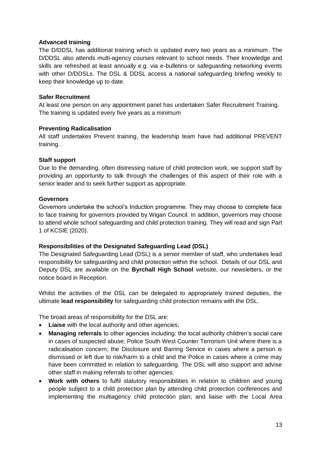## **Advanced training**

The D/DDSL has additional training which is updated every two years as a minimum. The D/DDSL also attends multi-agency courses relevant to school needs. Their knowledge and skills are refreshed at least annually e.g. via e-bulletins or safeguarding networking events with other D/DDSLs. The DSL & DDSL access a national safeguarding briefing weekly to keep their knowledge up to date.

## **Safer Recruitment**

At least one person on any appointment panel has undertaken Safer Recruitment Training. The training is updated every five years as a minimum

## **Preventing Radicalisation**

All staff undertakes Prevent training, the leadership team have had additional PREVENT training. .

## **Staff support**

Due to the demanding, often distressing nature of child protection work, we support staff by providing an opportunity to talk through the challenges of this aspect of their role with a senior leader and to seek further support as appropriate.

#### **Governors**

Governors undertake the school's Induction programme. They may choose to complete face to face training for governors provided by Wigan Council. In addition, governors may choose to attend whole school safeguarding and child protection training. They will read and sign Part 1 of KCSIE (2020).

#### **Responsibilities of the Designated Safeguarding Lead (DSL)**

The Designated Safeguarding Lead (DSL) is a senior member of staff, who undertakes lead responsibility for safeguarding and child protection within the school. Details of our DSL and Deputy DSL are available on the **Byrchall High School** website, our newsletters, or the notice board in Reception.

Whilst the activities of the DSL can be delegated to appropriately trained deputies, the ultimate **lead responsibility** for safeguarding child protection remains with the DSL.

The broad areas of responsibility for the DSL are:

- **Liaise** with the local authority and other agencies;
- **Managing referrals** to other agencies including: the local authority children's social care in cases of suspected abuse; Police South West Counter Terrorism Unit where there is a radicalisation concern; the Disclosure and Barring Service in cases where a person is dismissed or left due to risk/harm to a child and the Police in cases where a crime may have been committed in relation to safeguarding. The DSL will also support and advise other staff in making referrals to other agencies;
- **Work with others** to fulfil statutory responsibilities in relation to children and young people subject to a child protection plan by attending child protection conferences and implementing the multiagency child protection plan; and liaise with the Local Area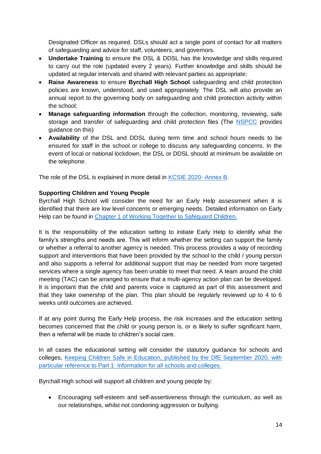Designated Officer as required. DSLs should act a single point of contact for all matters of safeguarding and advice for staff, volunteers, and governors.

- **Undertake Training** to ensure the DSL & DDSL has the knowledge and skills required to carry out the role (updated every 2 years). Further knowledge and skills should be updated at regular intervals and shared with relevant parties as appropriate;
- **Raise Awareness** to ensure **Byrchall High School** safeguarding and child protection policies are known, understood, and used appropriately. The DSL will also provide an annual report to the governing body on safeguarding and child protection activity within the school;
- **Manage safeguarding information** through the collection, monitoring, reviewing, safe storage and transfer of safeguarding and child protection files (The [NSPCC](https://learning.nspcc.org.uk/media/1442/child-protection-records-retention-and-storage-guidelines-september-2019.pdf) provides guidance on this)
- **Availability** of the DSL and DDSL during term time and school hours needs to be ensured for staff in the school or college to discuss any safeguarding concerns. In the event of local or national lockdown, the DSL or DDSL should at minimum be available on the telephone.

The role of the DSL is explained in more detail in [KCSIE 2020-](https://assets.publishing.service.gov.uk/government/uploads/system/uploads/attachment_data/file/912592/Keeping_children_safe_in_education_Sep_2020.pdf) Annex B.

# **Supporting Children and Young People**

Byrchall High School will consider the need for an Early Help assessment when it is identified that there are low level concerns or emerging needs. Detailed information on Early Help can be found in [Chapter 1 of Working Together to Safeguard Children.](https://www.gov.uk/government/publications/working-together-to-safeguard-children--2)

It is the responsibility of the education setting to initiate Early Help to identify what the family's strengths and needs are. This will inform whether the setting can support the family or whether a referral to another agency is needed. This process provides a way of recording support and interventions that have been provided by the school to the child / young person and also supports a referral for additional support that may be needed from more targeted services where a single agency has been unable to meet that need. A team around the child meeting (TAC) can be arranged to ensure that a multi-agency action plan can be developed. It is important that the child and parents voice is captured as part of this assessment and that they take ownership of the plan. This plan should be regularly reviewed up to 4 to 6 weeks until outcomes are achieved.

If at any point during the Early Help process, the risk increases and the education setting becomes concerned that the child or young person is, or is likely to suffer significant harm, then a referral will be made to children's social care.

In all cases the educational setting will consider the statutory guidance for schools and colleges, [Keeping Children Safe in Education, published by the DfE September 2020, with](https://www.gov.uk/government/publications/keeping-children-safe-in-education--2)  [particular reference to Part 1: Information for all schools and colleges.](https://www.gov.uk/government/publications/keeping-children-safe-in-education--2)

Byrchall High school will support all children and young people by:

 Encouraging self-esteem and self-assertiveness through the curriculum, as well as our relationships, whilst not condoning aggression or bullying.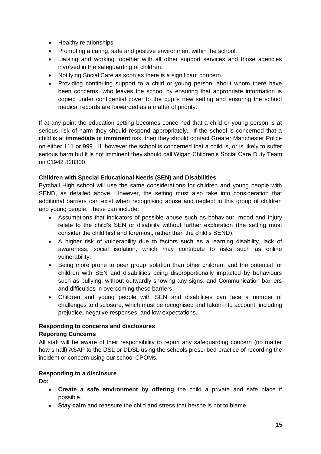- Healthy relationships
- Promoting a caring, safe and positive environment within the school.
- Liaising and working together with all other support services and those agencies involved in the safeguarding of children.
- Notifying Social Care as soon as there is a significant concern.
- Providing continuing support to a child or young person, about whom there have been concerns, who leaves the school by ensuring that appropriate information is copied under confidential cover to the pupils new setting and ensuring the school medical records are forwarded as a matter of priority.

If at any point the education setting becomes concerned that a child or young person is at serious risk of harm they should respond appropriately. If the school is concerned that a child is at **immediate** or **imminent** risk, then they should contact Greater Manchester Police on either 111 or 999. If, however the school is concerned that a child is, or is likely to suffer serious harm but it is not imminent they should call Wigan Children's Social Care Duty Team on 01942 828300.

# **Children with Special Educational Needs (SEN) and Disabilities**

Byrchall High school will use the same considerations for children and young people with SEND, as detailed above. However, the setting must also take into consideration that additional barriers can exist when recognising abuse and neglect in this group of children and young people. These can include:

- Assumptions that indicators of possible abuse such as behaviour, mood and injury relate to the child's SEN or disability without further exploration (the setting must consider the child first and foremost, rather than the child's SEND).
- A higher risk of vulnerability due to factors such as a learning disability, lack of awareness, social isolation, which may contribute to risks such as online vulnerability.
- Being more prone to peer group isolation than other children; and the potential for children with SEN and disabilities being disproportionally impacted by behaviours such as bullying, without outwardly showing any signs; and Communication barriers and difficulties in overcoming these barriers.
- Children and young people with SEN and disabilities can face a number of challenges to disclosure, which must be recognised and taken into account, including prejudice, negative responses, and low expectations.

# **Responding to concerns and disclosures**

# **Reporting Concerns**

All staff will be aware of their responsibility to report any safeguarding concern (no matter how small) ASAP to the DSL or DDSL using the schools prescribed practice of recording the incident or concern using our school CPOMs.

# **Responding to a disclosure**

**Do:**

- **Create a safe environment by offering** the child a private and safe place if possible.
- **Stay calm** and reassure the child and stress that he/she is not to blame.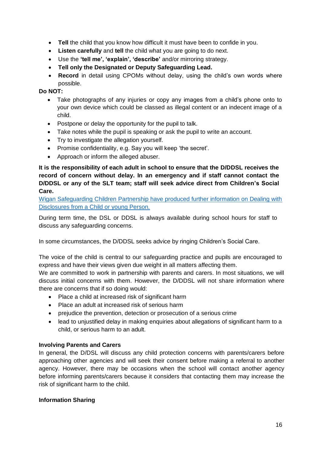- **Tell** the child that you know how difficult it must have been to confide in you.
- **Listen carefully** and **tell** the child what you are going to do next.
- Use the **'tell me', 'explain', 'describe'** and/or mirroring strategy.
- **Tell only the Designated or Deputy Safeguarding Lead.**
- **Record** in detail using CPOMs without delay, using the child's own words where possible.

## **Do NOT:**

- Take photographs of any injuries or copy any images from a child's phone onto to your own device which could be classed as illegal content or an indecent image of a child.
- Postpone or delay the opportunity for the pupil to talk.
- Take notes while the pupil is speaking or ask the pupil to write an account.
- Try to investigate the allegation yourself.
- Promise confidentiality, e.g. Say you will keep 'the secret'.
- Approach or inform the alleged abuser.

**It is the responsibility of each adult in school to ensure that the D/DDSL receives the record of concern without delay. In an emergency and if staff cannot contact the D/DDSL or any of the SLT team; staff will seek advice direct from Children's Social Care.**

[Wigan Safeguarding Children Partnership have produced further information on Dealing with](https://www.wiganlscb.com/Search-results.aspx?search_keywords=dealing%20with%20disclosures)  [Disclosures from a Child or young Person.](https://www.wiganlscb.com/Search-results.aspx?search_keywords=dealing%20with%20disclosures)

During term time, the DSL or DDSL is always available during school hours for staff to discuss any safeguarding concerns.

In some circumstances, the D/DDSL seeks advice by ringing Children's Social Care.

The voice of the child is central to our safeguarding practice and pupils are encouraged to express and have their views given due weight in all matters affecting them.

We are committed to work in partnership with parents and carers. In most situations, we will discuss initial concerns with them. However, the D/DDSL will not share information where there are concerns that if so doing would:

- Place a child at increased risk of significant harm
- Place an adult at increased risk of serious harm
- prejudice the prevention, detection or prosecution of a serious crime
- lead to unjustified delay in making enquiries about allegations of significant harm to a child, or serious harm to an adult.

#### **Involving Parents and Carers**

In general, the D/DSL will discuss any child protection concerns with parents/carers before approaching other agencies and will seek their consent before making a referral to another agency. However, there may be occasions when the school will contact another agency before informing parents/carers because it considers that contacting them may increase the risk of significant harm to the child.

#### **Information Sharing**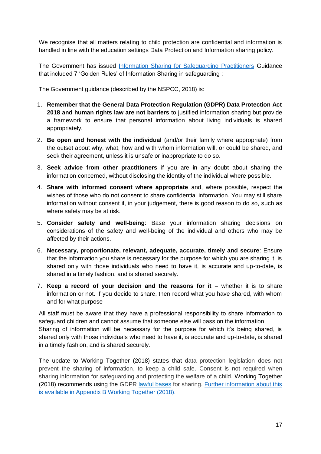We recognise that all matters relating to child protection are confidential and information is handled in line with the education settings Data Protection and Information sharing policy.

The Government has issued [Information Sharing for Safeguarding Practitioners](https://www.gov.uk/government/publications/safeguarding-practitioners-information-sharing-advice) Guidance that included 7 'Golden Rules' of Information Sharing in safeguarding :

The Government guidance (described by the NSPCC, 2018) is:

- 1. **Remember that the General Data Protection Regulation (GDPR) Data Protection Act 2018 and human rights law are not barriers** to justified information sharing but provide a framework to ensure that personal information about living individuals is shared appropriately.
- 2. **Be open and honest with the individual** (and/or their family where appropriate) from the outset about why, what, how and with whom information will, or could be shared, and seek their agreement, unless it is unsafe or inappropriate to do so.
- 3. **Seek advice from other practitioners** if you are in any doubt about sharing the information concerned, without disclosing the identity of the individual where possible.
- 4. **Share with informed consent where appropriate** and, where possible, respect the wishes of those who do not consent to share confidential information. You may still share information without consent if, in your judgement, there is good reason to do so, such as where safety may be at risk.
- 5. **Consider safety and well-being**: Base your information sharing decisions on considerations of the safety and well-being of the individual and others who may be affected by their actions.
- 6. **Necessary, proportionate, relevant, adequate, accurate, timely and secure**: Ensure that the information you share is necessary for the purpose for which you are sharing it, is shared only with those individuals who need to have it, is accurate and up-to-date, is shared in a timely fashion, and is shared securely.
- 7. **Keep a record of your decision and the reasons for it** whether it is to share information or not. If you decide to share, then record what you have shared, with whom and for what purpose

All staff must be aware that they have a professional responsibility to share information to safeguard children and cannot assume that someone else will pass on the information. Sharing of information will be necessary for the purpose for which it's being shared, is shared only with those individuals who need to have it, is accurate and up-to-date, is shared in a timely fashion, and is shared securely.

The update to Working Together (2018) states that data protection legislation does not prevent the sharing of information, to keep a child safe. Consent is not required when sharing information for safeguarding and protecting the welfare of a child. Working Together (2018) recommends using the GDPR [lawful](https://ico.org.uk/for-organisations/guide-to-data-protection/guide-to-the-general-data-protection-regulation-gdpr/lawful-basis-for-processing/) bases for sharing. [Further information about this](https://www.gov.uk/government/publications/working-together-to-safeguard-children--2)  [is available in Appendix B Working Together \(2018\).](https://www.gov.uk/government/publications/working-together-to-safeguard-children--2)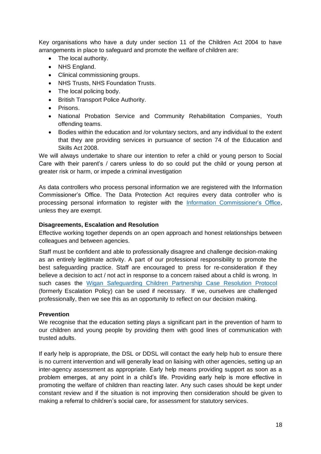Key organisations who have a duty under section 11 of the Children Act 2004 to have arrangements in place to safeguard and promote the welfare of children are:

- The local authority.
- NHS England.
- Clinical commissioning groups.
- NHS Trusts, NHS Foundation Trusts.
- The local policing body.
- British Transport Police Authority.
- **•** Prisons.
- National Probation Service and Community Rehabilitation Companies, Youth offending teams.
- Bodies within the education and /or voluntary sectors, and any individual to the extent that they are providing services in pursuance of section 74 of the Education and Skills Act 2008.

We will always undertake to share our intention to refer a child or young person to Social Care with their parent's / carers unless to do so could put the child or young person at greater risk or harm, or impede a criminal investigation

As data controllers who process personal information we are registered with the Information Commissioner's Office. The Data Protection Act requires every data controller who is processing personal information to register with the [Information Commissioner's Office,](https://ico.org.uk/for-organisations/data-protection-fee/self-assessment/) unless they are exempt.

#### **Disagreements, Escalation and Resolution**

Effective working together depends on an open approach and honest relationships between colleagues and between agencies.

Staff must be confident and able to professionally disagree and challenge decision-making as an entirely legitimate activity. A part of our professional responsibility to promote the best safeguarding practice. Staff are encouraged to press for re-consideration if they believe a decision to act / not act in response to a concern raised about a child is wrong. In such cases the [Wigan Safeguarding Children Partnership Case Resolution Protocol](https://www.wiganlscb.com/Professionals/Guidance-and-policies/index.aspx) (formerly Escalation Policy) can be used if necessary. If we, ourselves are challenged professionally, then we see this as an opportunity to reflect on our decision making.

#### **Prevention**

We recognise that the education setting plays a significant part in the prevention of harm to our children and young people by providing them with good lines of communication with trusted adults.

If early help is appropriate, the DSL or DDSL will contact the early help hub to ensure there is no current intervention and will generally lead on liaising with other agencies, setting up an inter-agency assessment as appropriate. Early help means providing support as soon as a problem emerges, at any point in a child's life. Providing early help is more effective in promoting the welfare of children than reacting later. Any such cases should be kept under constant review and if the situation is not improving then consideration should be given to making a referral to children's social care, for assessment for statutory services.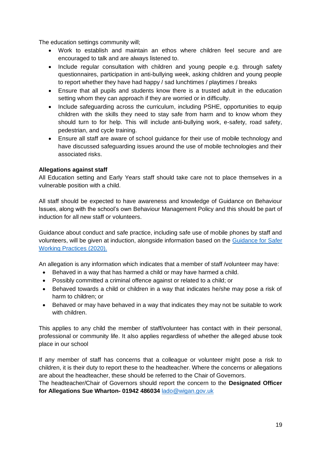The education settings community will;

- Work to establish and maintain an ethos where children feel secure and are encouraged to talk and are always listened to.
- Include regular consultation with children and young people e.g. through safety questionnaires, participation in anti-bullying week, asking children and young people to report whether they have had happy / sad lunchtimes / playtimes / breaks
- Ensure that all pupils and students know there is a trusted adult in the education setting whom they can approach if they are worried or in difficulty.
- Include safeguarding across the curriculum, including PSHE, opportunities to equip children with the skills they need to stay safe from harm and to know whom they should turn to for help. This will include anti-bullying work, e-safety, road safety, pedestrian, and cycle training.
- Ensure all staff are aware of school guidance for their use of mobile technology and have discussed safeguarding issues around the use of mobile technologies and their associated risks.

# **Allegations against staff**

All Education setting and Early Years staff should take care not to place themselves in a vulnerable position with a child.

All staff should be expected to have awareness and knowledge of Guidance on Behaviour Issues, along with the school's own Behaviour Management Policy and this should be part of induction for all new staff or volunteers.

Guidance about conduct and safe practice, including safe use of mobile phones by staff and volunteers, will be given at induction, alongside information based on the [Guidance for Safer](https://www.saferrecruitmentconsortium.org/GSWP%20COVID%20addendum%20April%202020%20final-1.pdf)  [Working Practices](https://www.saferrecruitmentconsortium.org/GSWP%20COVID%20addendum%20April%202020%20final-1.pdf) (2020).

An allegation is any information which indicates that a member of staff /volunteer may have:

- Behaved in a way that has harmed a child or may have harmed a child.
- Possibly committed a criminal offence against or related to a child; or
- Behaved towards a child or children in a way that indicates he/she may pose a risk of harm to children; or
- Behaved or may have behaved in a way that indicates they may not be suitable to work with children.

This applies to any child the member of staff/volunteer has contact with in their personal, professional or community life. It also applies regardless of whether the alleged abuse took place in our school

If any member of staff has concerns that a colleague or volunteer might pose a risk to children, it is their duty to report these to the headteacher. Where the concerns or allegations are about the headteacher, these should be referred to the Chair of Governors.

The headteacher/Chair of Governors should report the concern to the **Designated Officer for Allegations Sue Wharton- 01942 486034** [lado@wigan.gov.uk](mailto:lado@wigan.gov.uk)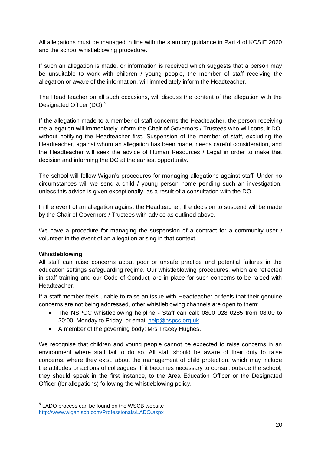All allegations must be managed in line with the statutory guidance in Part 4 of KCSIE 2020 and the school whistleblowing procedure.

If such an allegation is made, or information is received which suggests that a person may be unsuitable to work with children / young people, the member of staff receiving the allegation or aware of the information, will immediately inform the Headteacher.

The Head teacher on all such occasions, will discuss the content of the allegation with the Designated Officer (DO).<sup>5</sup>

If the allegation made to a member of staff concerns the Headteacher, the person receiving the allegation will immediately inform the Chair of Governors / Trustees who will consult DO, without notifying the Headteacher first. Suspension of the member of staff, excluding the Headteacher, against whom an allegation has been made, needs careful consideration, and the Headteacher will seek the advice of Human Resources / Legal in order to make that decision and informing the DO at the earliest opportunity.

The school will follow Wigan's procedures for managing allegations against staff. Under no circumstances will we send a child / young person home pending such an investigation, unless this advice is given exceptionally, as a result of a consultation with the DO.

In the event of an allegation against the Headteacher, the decision to suspend will be made by the Chair of Governors / Trustees with advice as outlined above.

We have a procedure for managing the suspension of a contract for a community user / volunteer in the event of an allegation arising in that context.

# **Whistleblowing**

All staff can raise concerns about poor or unsafe practice and potential failures in the education settings safeguarding regime. Our whistleblowing procedures, which are reflected in staff training and our Code of Conduct, are in place for such concerns to be raised with Headteacher.

If a staff member feels unable to raise an issue with Headteacher or feels that their genuine concerns are not being addressed, other whistleblowing channels are open to them:

- The NSPCC whistleblowing helpline Staff can call: 0800 028 0285 from 08:00 to 20:00, Monday to Friday, or email [help@nspcc.org.uk](file://///wig-vmw-p-fsw03/Partnership%20and%20Safeguarding/Workforce%20Development%20and%20Engagement%20Team/Lancaster%20University%20Conference%20-%20IPVAM/Karina%20Warwick/help@nspcc.org.uk)
- A member of the governing body: Mrs Tracey Hughes.

We recognise that children and young people cannot be expected to raise concerns in an environment where staff fail to do so. All staff should be aware of their duty to raise concerns, where they exist, about the management of child protection, which may include the attitudes or actions of colleagues. If it becomes necessary to consult outside the school, they should speak in the first instance, to the Area Education Officer or the Designated Officer (for allegations) following the whistleblowing policy.

 5 LADO process can be found on the WSCB website <http://www.wiganlscb.com/Professionals/LADO.aspx>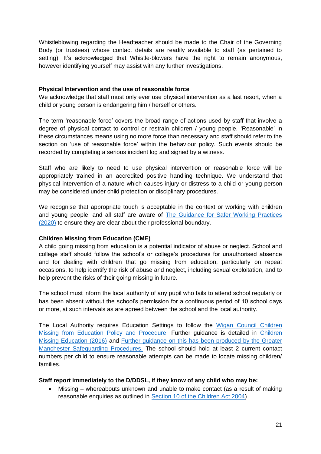Whistleblowing regarding the Headteacher should be made to the Chair of the Governing Body (or trustees) whose contact details are readily available to staff (as pertained to setting). It's acknowledged that Whistle-blowers have the right to remain anonymous, however identifying yourself may assist with any further investigations.

## **Physical Intervention and the use of reasonable force**

We acknowledge that staff must only ever use physical intervention as a last resort, when a child or young person is endangering him / herself or others.

The term 'reasonable force' covers the broad range of actions used by staff that involve a degree of physical contact to control or restrain children / young people. 'Reasonable' in these circumstances means using no more force than necessary and staff should refer to the section on 'use of reasonable force' within the behaviour policy. Such events should be recorded by completing a serious incident log and signed by a witness.

Staff who are likely to need to use physical intervention or reasonable force will be appropriately trained in an accredited positive handling technique. We understand that physical intervention of a nature which causes injury or distress to a child or young person may be considered under child protection or disciplinary procedures.

We recognise that appropriate touch is acceptable in the context or working with children and young people, and all staff are aware of [The Guidance for Safer Working Practices](https://www.saferrecruitmentconsortium.org/GSWP%20COVID%20addendum%20April%202020%20final-1.pdf)  [\(2020\)](https://www.saferrecruitmentconsortium.org/GSWP%20COVID%20addendum%20April%202020%20final-1.pdf) to ensure they are clear about their professional boundary.

# **Children Missing from Education (CME)**

A child going missing from education is a potential indicator of abuse or neglect. School and college staff should follow the school's or college's procedures for unauthorised absence and for dealing with children that go missing from education, particularly on repeat occasions, to help identify the risk of abuse and neglect, including sexual exploitation, and to help prevent the risks of their going missing in future.

The school must inform the local authority of any pupil who fails to attend school regularly or has been absent without the school's permission for a continuous period of 10 school days or more, at such intervals as are agreed between the school and the local authority.

The Local Authority requires Education Settings to follow the [Wigan Council Children](https://www.wigan.gov.uk/Resident/Education/Schools/School-Attendance/Children-Missing-Education.aspx)  [Missing from Education Policy and Procedure.](https://www.wigan.gov.uk/Resident/Education/Schools/School-Attendance/Children-Missing-Education.aspx) Further guidance is detailed in [Children](https://www.gov.uk/government/publications/children-missing-education)  [Missing Education \(2016\)](https://www.gov.uk/government/publications/children-missing-education) and [Further guidance on this has been produced by the Greater](https://greatermanchesterscb.proceduresonline.com/chapters/p_ch_missing_educ.html?zoom_highlight=children+missing+from+education)  [Manchester Safeguarding Procedures.](https://greatermanchesterscb.proceduresonline.com/chapters/p_ch_missing_educ.html?zoom_highlight=children+missing+from+education) The school should hold at least 2 current contact numbers per child to ensure reasonable attempts can be made to locate missing children/ families.

#### **Staff report immediately to the D/DDSL, if they know of any child who may be:**

 Missing – whereabouts unknown and unable to make contact (as a result of making reasonable enquiries as outlined in [Section 10 of the Children Act 2004\)](https://www.legislation.gov.uk/ukpga/2004/31/section/10)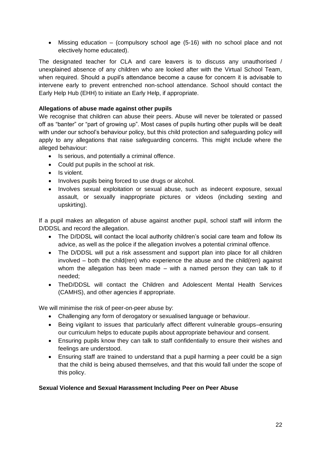Missing education – (compulsory school age (5-16) with no school place and not electively home educated).

The designated teacher for CLA and care leavers is to discuss any unauthorised / unexplained absence of any children who are looked after with the Virtual School Team, when required. Should a pupil's attendance become a cause for concern it is advisable to intervene early to prevent entrenched non-school attendance. School should contact the Early Help Hub (EHH) to initiate an Early Help, if appropriate.

## **Allegations of abuse made against other pupils**

We recognise that children can abuse their peers. Abuse will never be tolerated or passed off as "banter" or "part of growing up". Most cases of pupils hurting other pupils will be dealt with under our school's behaviour policy, but this child protection and safeguarding policy will apply to any allegations that raise safeguarding concerns. This might include where the alleged behaviour:

- Is serious, and potentially a criminal offence.
- Could put pupils in the school at risk.
- Is violent.
- Involves pupils being forced to use drugs or alcohol.
- Involves sexual exploitation or sexual abuse, such as indecent exposure, sexual assault, or sexually inappropriate pictures or videos (including sexting and upskirting).

If a pupil makes an allegation of abuse against another pupil, school staff will inform the D/DDSL and record the allegation.

- The D/DDSL will contact the local authority children's social care team and follow its advice, as well as the police if the allegation involves a potential criminal offence.
- The D/DDSL will put a risk assessment and support plan into place for all children involved – both the child(ren) who experience the abuse and the child(ren) against whom the allegation has been made  $-$  with a named person they can talk to if needed;
- TheD/DDSL will contact the Children and Adolescent Mental Health Services (CAMHS), and other agencies if appropriate.

We will minimise the risk of peer-on-peer abuse by:

- Challenging any form of derogatory or sexualised language or behaviour.
- Being vigilant to issues that particularly affect different vulnerable groups–ensuring our curriculum helps to educate pupils about appropriate behaviour and consent.
- Ensuring pupils know they can talk to staff confidentially to ensure their wishes and feelings are understood.
- Ensuring staff are trained to understand that a pupil harming a peer could be a sign that the child is being abused themselves, and that this would fall under the scope of this policy.

#### **Sexual Violence and Sexual Harassment Including Peer on Peer Abuse**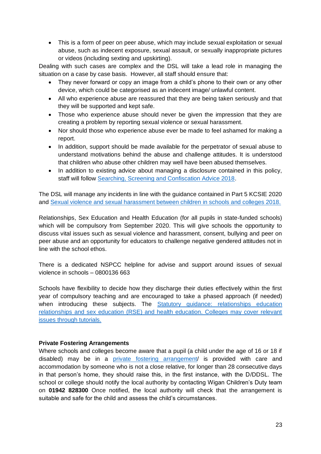This is a form of peer on peer abuse, which may include sexual exploitation or sexual abuse, such as indecent exposure, sexual assault, or sexually inappropriate pictures or videos (including sexting and upskirting).

Dealing with such cases are complex and the DSL will take a lead role in managing the situation on a case by case basis. However, all staff should ensure that:

- They never forward or copy an image from a child's phone to their own or any other device, which could be categorised as an indecent image/ unlawful content.
- All who experience abuse are reassured that they are being taken seriously and that they will be supported and kept safe.
- Those who experience abuse should never be given the impression that they are creating a problem by reporting sexual violence or sexual harassment.
- Nor should those who experience abuse ever be made to feel ashamed for making a report.
- In addition, support should be made available for the perpetrator of sexual abuse to understand motivations behind the abuse and challenge attitudes. It is understood that children who abuse other children may well have been abused themselves.
- In addition to existing advice about managing a disclosure contained in this policy, staff will follow [Searching, Screening and Confiscation Advice 2018.](https://assets.publishing.service.gov.uk/government/uploads/system/uploads/attachment_data/file/674416/Searching_screening_and_confiscation.pdf)

The DSL will manage any incidents in line with the guidance contained in Part 5 KCSIE 2020 and [Sexual violence and sexual harassment between children in schools and colleges 2018.](https://www.gov.uk/government/publications/sexual-violence-and-sexual-harassment-between-children-in-schools-and-colleges)

Relationships, Sex Education and Health Education (for all pupils in state-funded schools) which will be compulsory from September 2020. This will give schools the opportunity to discuss vital issues such as sexual violence and harassment, consent, bullying and peer on peer abuse and an opportunity for educators to challenge negative gendered attitudes not in line with the school ethos.

There is a dedicated NSPCC helpline for advise and support around issues of sexual violence in schools – 0800136 663

Schools have flexibility to decide how they discharge their duties effectively within the first year of compulsory teaching and are encouraged to take a phased approach (if needed) when introducing these subjects. The Statutory guidance: relationships education [relationships and sex education \(RSE\) and health education. Colleges may cover relevant](https://www.gov.uk/government/publications/relationships-education-relationships-and-sex-education-rse-and-health-education)  [issues through tutorials.](https://www.gov.uk/government/publications/relationships-education-relationships-and-sex-education-rse-and-health-education)

#### **Private Fostering Arrangements**

Where schools and colleges become aware that a pupil (a child under the age of 16 or 18 if disabled) may be in a [private fostering arrangement/](https://www.wigan.gov.uk/Resident/Health-Social-Care/Children-and-young-people/Private-Fostering.aspx) is provided with care and accommodation by someone who is not a close relative, for longer than 28 consecutive days in that person's home, they should raise this, in the first instance, with the D/DDSL. The school or college should notify the local authority by contacting Wigan Children's Duty team on **01942 828300** Once notified, the local authority will check that the arrangement is suitable and safe for the child and assess the child's circumstances.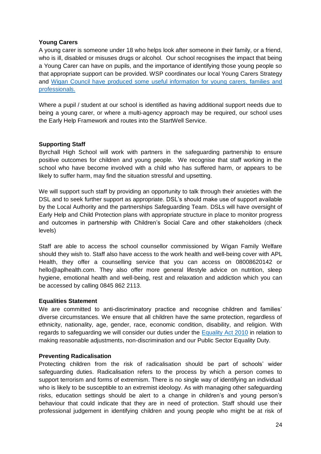## **Young Carers**

A young carer is someone under 18 who helps look after someone in their family, or a friend, who is ill, disabled or misuses drugs or alcohol. Our school recognises the impact that being a Young Carer can have on pupils, and the importance of identifying those young people so that appropriate support can be provided. WSP coordinates our local Young Carers Strategy and Wigan Council have produced some [useful information for young carers, families and](https://www.wigan.gov.uk/Resident/Health-Social-Care/Children-and-young-people/Young-carers/Useful-links-for-young-carers.aspx)  [professionals.](https://www.wigan.gov.uk/Resident/Health-Social-Care/Children-and-young-people/Young-carers/Useful-links-for-young-carers.aspx)

Where a pupil / student at our school is identified as having additional support needs due to being a young carer, or where a multi-agency approach may be required, our school uses the Early Help Framework and routes into the StartWell Service.

#### **Supporting Staff**

Byrchall High School will work with partners in the safeguarding partnership to ensure positive outcomes for children and young people. We recognise that staff working in the school who have become involved with a child who has suffered harm, or appears to be likely to suffer harm, may find the situation stressful and upsetting.

We will support such staff by providing an opportunity to talk through their anxieties with the DSL and to seek further support as appropriate. DSL's should make use of support available by the Local Authority and the partnerships Safeguarding Team. DSLs will have oversight of Early Help and Child Protection plans with appropriate structure in place to monitor progress and outcomes in partnership with Children's Social Care and other stakeholders (check levels)

Staff are able to access the school counsellor commissioned by Wigan Family Welfare should they wish to. Staff also have access to the work health and well-being cover with APL Health, they offer a counselling service that you can access on 08008620142 or hello@aplhealth.com. They also offer more general lifestyle advice on nutrition, sleep hygiene, emotional health and well-being, rest and relaxation and addiction which you can be accessed by calling 0845 862 2113.

#### **Equalities Statement**

We are committed to anti-discriminatory practice and recognise children and families' diverse circumstances. We ensure that all children have the same protection, regardless of ethnicity, nationality, age, gender, race, economic condition, disability, and religion. With regards to safeguarding we will consider our duties under the [Equality Act 2010](https://www.gov.uk/guidance/equality-act-2010-guidance) in relation to making reasonable adjustments, non-discrimination and our Public Sector Equality Duty.

#### **Preventing Radicalisation**

Protecting children from the risk of radicalisation should be part of schools' wider safeguarding duties. Radicalisation refers to the process by which a person comes to support terrorism and forms of extremism. There is no single way of identifying an individual who is likely to be susceptible to an extremist ideology. As with managing other safeguarding risks, education settings should be alert to a change in children's and young person's behaviour that could indicate that they are in need of protection. Staff should use their professional judgement in identifying children and young people who might be at risk of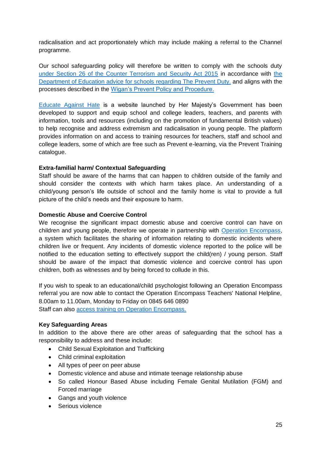radicalisation and act proportionately which may include making a referral to the Channel programme.

Our school safeguarding policy will therefore be written to comply with the schools duty [under Section 26 of the Counter Terrorism and Security Act 2015](https://www.legislation.gov.uk/ukpga/2015/6/section/26/enacted) in accordance with [the](https://assets.publishing.service.gov.uk/government/uploads/system/uploads/attachment_data/file/439598/prevent-duty-departmental-advice-v6.pdf)  [Department of Education advice for schools regarding The Prevent Duty.](https://assets.publishing.service.gov.uk/government/uploads/system/uploads/attachment_data/file/439598/prevent-duty-departmental-advice-v6.pdf) and aligns with the processes described in the [Wigan's Prevent Policy and Procedure.](https://www.wiganlscb.com/Search-results.aspx?search_keywords=prevent)

[Educate Against Hate](https://educateagainsthate.com/) is a website launched by Her Majesty's Government has been developed to support and equip school and college leaders, teachers, and parents with information, tools and resources (including on the promotion of fundamental British values) to help recognise and address extremism and radicalisation in young people. The platform provides information on and access to training resources for teachers, staff and school and college leaders, some of which are free such as Prevent e-learning, via the Prevent Training catalogue.

## **Extra-familial harm/ Contextual Safeguarding**

Staff should be aware of the harms that can happen to children outside of the family and should consider the contexts with which harm takes place. An understanding of a child/young person's life outside of school and the family home is vital to provide a full picture of the child's needs and their exposure to harm.

## **Domestic Abuse and Coercive Control**

We recognise the significant impact domestic abuse and coercive control can have on children and young people, therefore we operate in partnership with [Operation Encompass,](https://www.operationencompass.org/) a system which facilitates the sharing of information relating to domestic incidents where children live or frequent. Any incidents of domestic violence reported to the police will be notified to the education setting to effectively support the child(ren) / young person. Staff should be aware of the impact that domestic violence and coercive control has upon children, both as witnesses and by being forced to collude in this.

If you wish to speak to an educational/child psychologist following an Operation Encompass referral you are now able to contact the Operation Encompass Teachers' National Helpline, 8.00am to 11.00am, Monday to Friday on 0845 646 0890

Staff can also **access training on Operation Encompass.** 

#### **Key Safeguarding Areas**

In addition to the above there are other areas of safeguarding that the school has a responsibility to address and these include:

- Child Sexual Exploitation and Trafficking
- Child criminal exploitation
- All types of peer on peer abuse
- Domestic violence and abuse and intimate teenage relationship abuse
- So called Honour Based Abuse including Female Genital Mutilation (FGM) and Forced marriage
- Gangs and youth violence
- Serious violence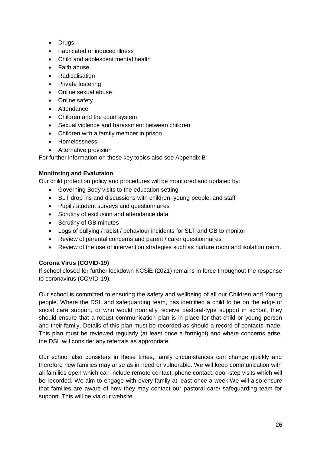- Drugs
- Fabricated or induced illness
- Child and adolescent mental health
- Faith abuse
- Radicalisation
- Private fostering
- Online sexual abuse
- Online safety
- Attendance
- Children and the court system
- Sexual violence and harassment between children
- Children with a family member in prison
- Homelessness
- Alternative provision

For further information on these key topics also see Appendix B

# **Monitoring and Evalutaion**

Our child protection policy and procedures will be monitored and updated by:

- Governing Body visits to the education setting
- SLT drop ins and discussions with children, young people, and staff
- Pupil / student surveys and questionnaires
- Scrutiny of exclusion and attendance data
- Scrutiny of GB minutes
- Logs of bullying / racist / behaviour incidents for SLT and GB to monitor
- Review of parental concerns and parent / carer questionnaires
- Review of the use of intervention strategies such as nurture room and isolation room.

# **Corona Virus (COVID-19)**

If school closed for further lockdown KCSiE (2021) remains in force throughout the response to coronavirus (COVID-19).

Our school is committed to ensuring the safety and wellbeing of all our Children and Young people. Where the DSL and safeguarding team, has identified a child to be on the edge of social care support, or who would normally receive pastoral-type support in school, they should ensure that a robust communication plan is in place for that child or young person and their family. Details of this plan must be recorded as should a record of contacts made. This plan must be reviewed regularly (at least once a fortnight) and where concerns arise, the DSL will consider any referrals as appropriate.

Our school also considers in these times, family circumstances can change quickly and therefore new families may arise as in need or vulnerable. We will keep communication with all families open which can include remote contact, phone contact, door-step visits which will be recorded. We aim to engage with every family at least once a week.We will also ensure that families are aware of how they may contact our pastoral care/ safeguarding team for support. This will be via our website.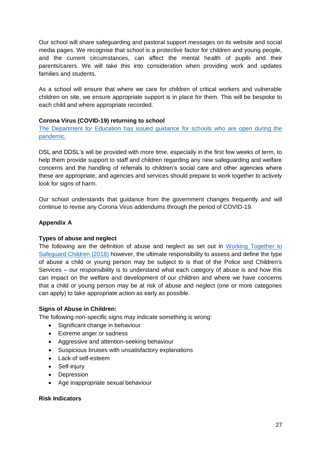Our school will share safeguarding and pastoral support messages on its website and social media pages. We recognise that school is a protective factor for children and young people, and the current circumstances, can affect the mental health of pupils and their parents/carers. We will take this into consideration when providing work and updates families and students.

As a school will ensure that where we care for children of critical workers and vulnerable children on site, we ensure appropriate support is in place for them. This will be bespoke to each child and where appropriate recorded.

# **Corona Virus (COVID-19) returning to school**

[The Department for Education has issued guidance for schools who are open during the](https://www.gov.uk/government/publications/actions-for-schools-during-the-coronavirus-outbreak/guidance-for-full-opening-schools#section-3-curriculum-behaviour-and-pastoral-support)  [pandemic.](https://www.gov.uk/government/publications/actions-for-schools-during-the-coronavirus-outbreak/guidance-for-full-opening-schools#section-3-curriculum-behaviour-and-pastoral-support)

DSL and DDSL's will be provided with more time, especially in the first few weeks of term, to help them provide support to staff and children regarding any new safeguarding and welfare concerns and the handling of referrals to children's social care and other agencies where these are appropriate, and agencies and services should prepare to work together to actively look for signs of harm.

Our school understands that guidance from the government changes frequently and will continue to revise any Corona Virus addendums through the period of COVID-19.

# **Appendix A**

#### **Types of abuse and neglect**

The following are the definition of abuse and neglect as set out in [Working Together to](https://www.gov.uk/government/publications/working-together-to-safeguard-children--2)  [Safeguard Children \(2018\)](https://www.gov.uk/government/publications/working-together-to-safeguard-children--2) however, the ultimate responsibility to assess and define the type of abuse a child or young person may be subject to is that of the Police and Children's Services – our responsibility is to understand what each category of abuse is and how this can impact on the welfare and development of our children and where we have concerns that a child or young person may be at risk of abuse and neglect (one or more categories can apply) to take appropriate action as early as possible.

#### **Signs of Abuse in Children:**

The following non-specific signs may indicate something is wrong:

- Significant change in behaviour
- Extreme anger or sadness
- Aggressive and attention-seeking behaviour
- Suspicious bruises with unsatisfactory explanations
- Lack of self-esteem
- Self-injury
- Depression
- Age inappropriate sexual behaviour

## **Risk Indicators**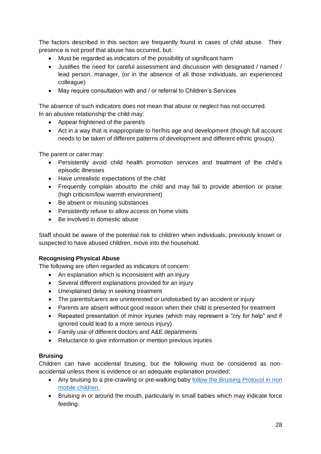The factors described in this section are frequently found in cases of child abuse. Their presence is not proof that abuse has occurred, but:

- Must be regarded as indicators of the possibility of significant harm
- Justifies the need for careful assessment and discussion with designated / named / lead person, manager, (or in the absence of all those individuals, an experienced colleague)
- May require consultation with and / or referral to Children's Services

The absence of such indicators does not mean that abuse or neglect has not occurred. In an abusive relationship the child may:

- Appear frightened of the parent/s
- Act in a way that is inappropriate to her/his age and development (though full account needs to be taken of different patterns of development and different ethnic groups)

The parent or carer may:

- Persistently avoid child health promotion services and treatment of the child's episodic illnesses
- Have unrealistic expectations of the child
- Frequently complain about/to the child and may fail to provide attention or praise (high criticism/low warmth environment)
- Be absent or misusing substances
- Persistently refuse to allow access on home visits
- Be involved in domestic abuse

Staff should be aware of the potential risk to children when individuals, previously known or suspected to have abused children, move into the household.

# **Recognising Physical Abuse**

The following are often regarded as indicators of concern:

- An explanation which is inconsistent with an injury
- Several different explanations provided for an injury
- Unexplained delay in seeking treatment
- The parents/carers are uninterested or undisturbed by an accident or injury
- Parents are absent without good reason when their child is presented for treatment
- Repeated presentation of minor injuries (which may represent a "cry for help" and if ignored could lead to a more serious injury)
- Family use of different doctors and A&E departments
- Reluctance to give information or mention previous injuries

# **Bruising**

Children can have accidental bruising, but the following must be considered as nonaccidental unless there is evidence or an adequate explanation provided:

- Any bruising to a pre-crawling or pre-walking baby follow the Bruising Protocol in non [mobile children.](https://www.wiganlscb.com/Parent/What-is-abuse/Injuries-non-mobile-children.aspx)
- Bruising in or around the mouth, particularly in small babies which may indicate force feeding.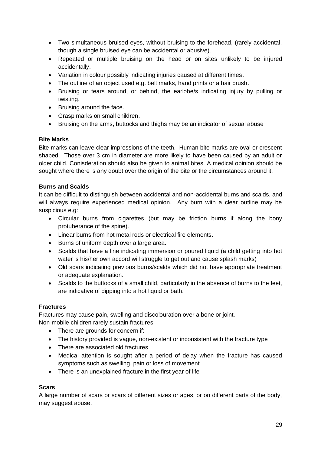- Two simultaneous bruised eyes, without bruising to the forehead, (rarely accidental, though a single bruised eye can be accidental or abusive).
- Repeated or multiple bruising on the head or on sites unlikely to be injured accidentally.
- Variation in colour possibly indicating injuries caused at different times.
- The outline of an object used e.g. belt marks, hand prints or a hair brush.
- Bruising or tears around, or behind, the earlobe/s indicating injury by pulling or twisting.
- Bruising around the face.
- Grasp marks on small children.
- Bruising on the arms, buttocks and thighs may be an indicator of sexual abuse

## **Bite Marks**

Bite marks can leave clear impressions of the teeth. Human bite marks are oval or crescent shaped. Those over 3 cm in diameter are more likely to have been caused by an adult or older child. Conisderation should also be given to animal bites. A medical opinion should be sought where there is any doubt over the origin of the bite or the circumstances around it.

## **Burns and Scalds**

It can be difficult to distinguish between accidental and non-accidental burns and scalds, and will always require experienced medical opinion. Any burn with a clear outline may be suspicious e.g:

- Circular burns from cigarettes (but may be friction burns if along the bony protuberance of the spine).
- Linear burns from hot metal rods or electrical fire elements.
- Burns of uniform depth over a large area.
- Scalds that have a line indicating immersion or poured liquid (a child getting into hot water is his/her own accord will struggle to get out and cause splash marks)
- Old scars indicating previous burns/scalds which did not have appropriate treatment or adequate explanation.
- Scalds to the buttocks of a small child, particularly in the absence of burns to the feet, are indicative of dipping into a hot liquid or bath.

# **Fractures**

Fractures may cause pain, swelling and discolouration over a bone or joint. Non-mobile children rarely sustain fractures.

- There are grounds for concern if:
- The history provided is vague, non-existent or inconsistent with the fracture type
- There are associated old fractures
- Medical attention is sought after a period of delay when the fracture has caused symptoms such as swelling, pain or loss of movement
- There is an unexplained fracture in the first year of life

# **Scars**

A large number of scars or scars of different sizes or ages, or on different parts of the body, may suggest abuse.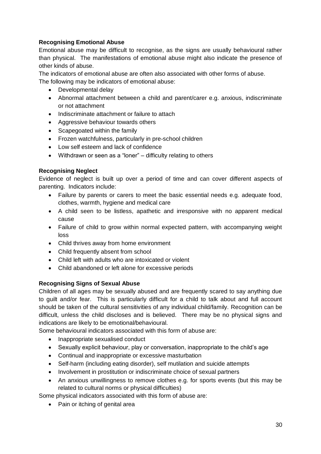# **Recognising Emotional Abuse**

Emotional abuse may be difficult to recognise, as the signs are usually behavioural rather than physical. The manifestations of emotional abuse might also indicate the presence of other kinds of abuse.

The indicators of emotional abuse are often also associated with other forms of abuse. The following may be indicators of emotional abuse:

- Developmental delay
- Abnormal attachment between a child and parent/carer e.g. anxious, indiscriminate or not attachment
- Indiscriminate attachment or failure to attach
- Aggressive behaviour towards others
- Scapegoated within the family
- Frozen watchfulness, particularly in pre-school children
- Low self esteem and lack of confidence
- Withdrawn or seen as a "loner" difficulty relating to others

#### **Recognising Neglect**

Evidence of neglect is built up over a period of time and can cover different aspects of parenting. Indicators include:

- Failure by parents or carers to meet the basic essential needs e.g. adequate food, clothes, warmth, hygiene and medical care
- A child seen to be listless, apathetic and irresponsive with no apparent medical cause
- Failure of child to grow within normal expected pattern, with accompanying weight loss
- Child thrives away from home environment
- Child frequently absent from school
- Child left with adults who are intoxicated or violent
- Child abandoned or left alone for excessive periods

#### **Recognising Signs of Sexual Abuse**

Children of all ages may be sexually abused and are frequently scared to say anything due to guilt and/or fear. This is particularly difficult for a child to talk about and full account should be taken of the cultural sensitivities of any individual child/family. Recognition can be difficult, unless the child discloses and is believed. There may be no physical signs and indications are likely to be emotional/behavioural.

Some behavioural indicators associated with this form of abuse are:

- Inappropriate sexualised conduct
- Sexually explicit behaviour, play or conversation, inappropriate to the child's age
- Continual and inappropriate or excessive masturbation
- Self-harm (including eating disorder), self mutilation and suicide attempts
- Involvement in prostitution or indiscriminate choice of sexual partners
- An anxious unwillingness to remove clothes e.g. for sports events (but this may be related to cultural norms or physical difficulties)
- Some physical indicators associated with this form of abuse are:
	- Pain or itching of genital area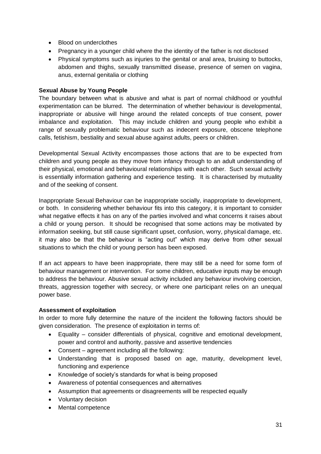- Blood on underclothes
- Pregnancy in a younger child where the the identity of the father is not disclosed
- Physical symptoms such as injuries to the genital or anal area, bruising to buttocks, abdomen and thighs, sexually transmitted disease, presence of semen on vagina, anus, external genitalia or clothing

## **Sexual Abuse by Young People**

The boundary between what is abusive and what is part of normal childhood or youthful experimentation can be blurred. The determination of whether behaviour is developmental, inappropriate or abusive will hinge around the related concepts of true consent, power imbalance and exploitation. This may include children and young people who exhibit a range of sexually problematic behaviour such as indecent exposure, obscene telephone calls, fetishism, bestiality and sexual abuse against adults, peers or children.

Developmental Sexual Activity encompasses those actions that are to be expected from children and young people as they move from infancy through to an adult understanding of their physical, emotional and behavioural relationships with each other. Such sexual activity is essentially information gathering and experience testing. It is characterised by mutuality and of the seeking of consent.

Inappropriate Sexual Behaviour can be inappropriate socially, inappropriate to development, or both. In considering whether behaviour fits into this category, it is important to consider what negative effects it has on any of the parties involved and what concerns it raises about a child or young person. It should be recognised that some actions may be motivated by information seeking, but still cause significant upset, confusion, worry, physical damage, etc. it may also be that the behaviour is "acting out" which may derive from other sexual situations to which the child or young person has been exposed.

If an act appears to have been inappropriate, there may still be a need for some form of behaviour management or intervention. For some children, educative inputs may be enough to address the behaviour. Abusive sexual activity included any behaviour involving coercion, threats, aggression together with secrecy, or where one participant relies on an unequal power base.

#### **Assessment of exploitation**

In order to more fully determine the nature of the incident the following factors should be given consideration. The presence of exploitation in terms of:

- Equality consider differentials of physical, cognitive and emotional development, power and control and authority, passive and assertive tendencies
- Consent agreement including all the following:
- Understanding that is proposed based on age, maturity, development level, functioning and experience
- Knowledge of society's standards for what is being proposed
- Awareness of potential consequences and alternatives
- Assumption that agreements or disagreements will be respected equally
- Voluntary decision
- Mental competence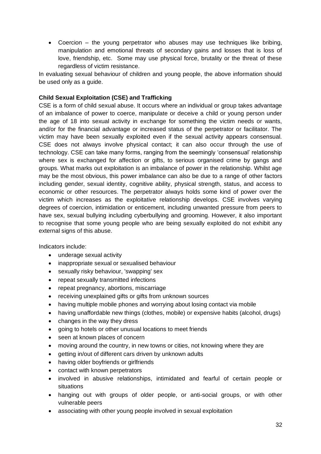Coercion – the young perpetrator who abuses may use techniques like bribing, manipulation and emotional threats of secondary gains and losses that is loss of love, friendship, etc. Some may use physical force, brutality or the threat of these regardless of victim resistance.

In evaluating sexual behaviour of children and young people, the above information should be used only as a guide.

# **Child Sexual Exploitation (CSE) and Trafficking**

CSE is a form of child sexual abuse. It occurs where an individual or group takes advantage of an imbalance of power to coerce, manipulate or deceive a child or young person under the age of 18 into sexual activity in exchange for something the victim needs or wants, and/or for the financial advantage or increased status of the perpetrator or facilitator. The victim may have been sexually exploited even if the sexual activity appears consensual. CSE does not always involve physical contact; it can also occur through the use of technology. CSE can take many forms, ranging from the seemingly 'consensual' relationship where sex is exchanged for affection or gifts, to serious organised crime by gangs and groups. What marks out exploitation is an imbalance of power in the relationship. Whilst age may be the most obvious, this power imbalance can also be due to a range of other factors including gender, sexual identity, cognitive ability, physical strength, status, and access to economic or other resources. The perpetrator always holds some kind of power over the victim which increases as the exploitative relationship develops. CSE involves varying degrees of coercion, intimidation or enticement, including unwanted pressure from peers to have sex, sexual bullying including cyberbullying and grooming. However, it also important to recognise that some young people who are being sexually exploited do not exhibit any external signs of this abuse.

Indicators include:

- underage sexual activity
- inappropriate sexual or sexualised behaviour
- sexually risky behaviour, 'swapping' sex
- repeat sexually transmitted infections
- repeat pregnancy, abortions, miscarriage
- receiving unexplained gifts or gifts from unknown sources
- having multiple mobile phones and worrying about losing contact via mobile
- having unaffordable new things (clothes, mobile) or expensive habits (alcohol, drugs)
- changes in the way they dress
- going to hotels or other unusual locations to meet friends
- seen at known places of concern
- moving around the country, in new towns or cities, not knowing where they are
- getting in/out of different cars driven by unknown adults
- having older boyfriends or girlfriends
- contact with known perpetrators
- involved in abusive relationships, intimidated and fearful of certain people or situations
- hanging out with groups of older people, or anti-social groups, or with other vulnerable peers
- associating with other young people involved in sexual exploitation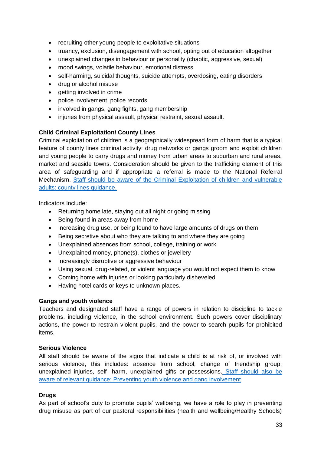- recruiting other young people to exploitative situations
- truancy, exclusion, disengagement with school, opting out of education altogether
- unexplained changes in behaviour or personality (chaotic, aggressive, sexual)
- mood swings, volatile behaviour, emotional distress
- self-harming, suicidal thoughts, suicide attempts, overdosing, eating disorders
- drug or alcohol misuse
- getting involved in crime
- police involvement, police records
- involved in gangs, gang fights, gang membership
- injuries from physical assault, physical restraint, sexual assault.

## **Child Criminal Exploitation/ County Lines**

Criminal exploitation of children is a geographically widespread form of harm that is a typical feature of county lines criminal activity: drug networks or gangs groom and exploit children and young people to carry drugs and money from urban areas to suburban and rural areas, market and seaside towns. Consideration should be given to the trafficking element of this area of safeguarding and if appropriate a referral is made to the National Referral Mechanism. Staff should be aware of the Criminal [Exploitation of children and vulnerable](https://www.gov.uk/government/publications/criminal-exploitation-of-children-and-vulnerable-adults-county-lines)  [adults: county lines guidance.](https://www.gov.uk/government/publications/criminal-exploitation-of-children-and-vulnerable-adults-county-lines)

Indicators Include:

- Returning home late, staying out all night or going missing
- Being found in areas away from home
- Increasing drug use, or being found to have large amounts of drugs on them
- Being secretive about who they are talking to and where they are going
- Unexplained absences from school, college, training or work
- Unexplained money, phone(s), clothes or jewellery
- Increasingly disruptive or aggressive behaviour
- Using sexual, drug-related, or violent language you would not expect them to know
- Coming home with injuries or looking particularly disheveled
- Having hotel cards or keys to unknown places.

#### **Gangs and youth violence**

Teachers and designated staff have a range of powers in relation to discipline to tackle problems, including violence, in the school environment. Such powers cover disciplinary actions, the power to restrain violent pupils, and the power to search pupils for prohibited items.

#### **Serious Violence**

All staff should be aware of the signs that indicate a child is at risk of, or involved with serious violence, this includes: absence from school, change of friendship group, unexplained injuries, self- harm, unexplained gifts or possessions. [Staff should also be](https://www.gov.uk/government/publications/advice-to-schools-and-colleges-on-gangs-and-youth-violence)  [aware of relevant guidance: Preventing youth violence and gang involvement](https://www.gov.uk/government/publications/advice-to-schools-and-colleges-on-gangs-and-youth-violence)

#### **Drugs**

As part of school's duty to promote pupils' wellbeing, we have a role to play in preventing drug misuse as part of our pastoral responsibilities (health and wellbeing/Healthy Schools)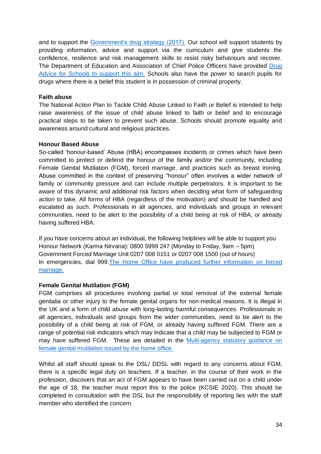and to support the [Government's drug strategy \(2017\).](https://www.gov.uk/government/publications/drug-strategy-2017) Our school will support students by providing information, advice and support via the curriculum and give students the confidence, resilience and risk management skills to resist risky behaviours and recover. The Department of Education and Association of Chief Police Officers have provided [Drug](https://assets.publishing.service.gov.uk/government/uploads/system/uploads/attachment_data/file/270169/drug_advice_for_schools.pdf)  [Advice for Schools to support this aim.](https://assets.publishing.service.gov.uk/government/uploads/system/uploads/attachment_data/file/270169/drug_advice_for_schools.pdf) Schools also have the power to search pupils for drugs where there is a belief this student is in possession of criminal property.

#### **Faith abuse**

The National Action Plan to Tackle Child Abuse Linked to Faith or Belief is intended to help raise awareness of the issue of child abuse linked to faith or belief and to encourage practical steps to be taken to prevent such abuse. Schools should promote equality and awareness around cultural and religious practices.

#### **Honour Based Abuse**

So-called 'honour-based' Abuse (HBA) encompasses incidents or crimes which have been committed to protect or defend the honour of the family and/or the community, including Female Genital Mutilation (FGM), forced marriage, and practices such as breast ironing. Abuse committed in the context of preserving "honour" often involves a wider network of family or community pressure and can include multiple perpetrators. It is important to be aware of this dynamic and additional risk factors when deciding what form of safeguarding action to take. All forms of HBA (regardless of the motivation) and should be handled and escalated as such. Professionals in all agencies, and individuals and groups in relevant communities, need to be alert to the possibility of a child being at risk of HBA, or already having suffered HBA.

If you have concerns about an individual, the following helplines will be able to support you Honour Network (Karma Nirvana): 0800 5999 247 (Monday to Friday, 9am – 5pm) Government Forced Marriage Unit 0207 008 0151 or 0207 008 1500 (out of hours) In emergencies, dial 999.The [Home Office have produced further information on forced](https://www.gov.uk/stop-forced-marriage) [marriage.](https://www.gov.uk/stop-forced-marriage)

#### **Female Genital Mutilation (FGM)**

FGM comprises all procedures involving partial or total removal of the external female genitalia or other injury to the female genital organs for non-medical reasons. It is illegal in the UK and a form of child abuse with long-lasting harmful consequences. Professionals in all agencies, individuals and groups from the wider communities, need to be alert to the possibility of a child being at risk of FGM, or already having suffered FGM. There are a range of potential risk indicators which may indicate that a child may be subjected to FGM or may have suffered FGM. These are detailed in the [Multi-agency statutory guidance on](https://www.gov.uk/government/publications/multi-agency-statutory-guidance-on-female-genital-mutilation)  [female genital mutilation issued by the home office.](https://www.gov.uk/government/publications/multi-agency-statutory-guidance-on-female-genital-mutilation)

Whilst all staff should speak to the DSL/ DDSL with regard to any concerns about FGM, there is a specific legal duty on teachers. If a teacher, in the course of their work in the profession, discovers that an act of FGM appears to have been carried out on a child under the age of 18, the teacher must report this to the police (KCSIE 2020). This should be completed in consultation with the DSL but the responsibility of reporting lies with the staff member who identified the concern.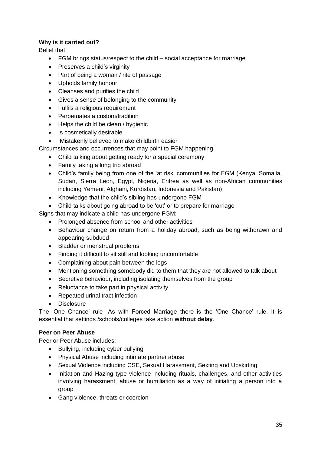# **Why is it carried out?**

Belief that:

- FGM brings status/respect to the child social acceptance for marriage
- Preserves a child's virginity
- Part of being a woman / rite of passage
- Upholds family honour
- Cleanses and purifies the child
- Gives a sense of belonging to the community
- Fulfils a religious requirement
- Perpetuates a custom/tradition
- $\bullet$  Helps the child be clean / hygienic
- Is cosmetically desirable
- Mistakenly believed to make childbirth easier
- Circumstances and occurrences that may point to FGM happening
	- Child talking about getting ready for a special ceremony
	- Family taking a long trip abroad
	- Child's family being from one of the 'at risk' communities for FGM (Kenya, Somalia, Sudan, Sierra Leon, Egypt, Nigeria, Eritrea as well as non-African communities including Yemeni, Afghani, Kurdistan, Indonesia and Pakistan)
	- Knowledge that the child's sibling has undergone FGM
	- Child talks about going abroad to be 'cut' or to prepare for marriage

Signs that may indicate a child has undergone FGM:

- Prolonged absence from school and other activities
- Behaviour change on return from a holiday abroad, such as being withdrawn and appearing subdued
- Bladder or menstrual problems
- Finding it difficult to sit still and looking uncomfortable
- Complaining about pain between the legs
- Mentioning something somebody did to them that they are not allowed to talk about
- Secretive behaviour, including isolating themselves from the group
- Reluctance to take part in physical activity
- Repeated urinal tract infection
- Disclosure

The 'One Chance' rule- As with Forced Marriage there is the 'One Chance' rule. It is essential that settings /schools/colleges take action **without delay**.

# **Peer on Peer Abuse**

Peer or Peer Abuse includes:

- Bullying, including cyber bullying
- Physical Abuse including intimate partner abuse
- Sexual Violence including CSE, Sexual Harassment, Sexting and Upskirting
- Initiation and Hazing type violence including rituals, challenges, and other activities involving harassment, abuse or humiliation as a way of initiating a person into a group
- Gang violence, threats or coercion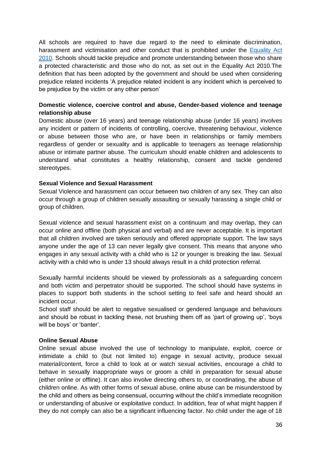All schools are required to have due regard to the need to eliminate discrimination, harassment and victimisation and other conduct that is prohibited under the Equality Act [2010.](https://www.legislation.gov.uk/ukpga/2010/15/contents) Schools should tackle prejudice and promote understanding between those who share a protected characteristic and those who do not, as set out in the Equality Act 2010.The definition that has been adopted by the government and should be used when considering prejudice related incidents 'A prejudice related incident is any incident which is perceived to be prejudice by the victim or any other person'

## **Domestic violence, coercive control and abuse, Gender-based violence and teenage relationship abuse**

Domestic abuse (over 16 years) and teenage relationship abuse (under 16 years) involves any incident or pattern of incidents of controlling, coercive, threatening behaviour, violence or abuse between those who are, or have been in relationships or family members regardless of gender or sexuality and is applicable to teenagers as teenage relationship abuse or intimate partner abuse. The curriculum should enable children and adolescents to understand what constitutes a healthy relationship, consent and tackle gendered stereotypes.

#### **Sexual Violence and Sexual Harassment**

Sexual Violence and harassment can occur between two children of any sex. They can also occur through a group of children sexually assaulting or sexually harassing a single child or group of children.

Sexual violence and sexual harassment exist on a continuum and may overlap, they can occur online and offline (both physical and verbal) and are never acceptable. It is important that all children involved are taken seriously and offered appropriate support. The law says anyone under the age of 13 can never legally give consent. This means that anyone who engages in any sexual activity with a child who is 12 or younger is breaking the law. Sexual activity with a child who is under 13 should always result in a child protection referral.

Sexually harmful incidents should be viewed by professionals as a safeguarding concern and both victim and perpetrator should be supported. The school should have systems in places to support both students in the school setting to feel safe and heard should an incident occur.

School staff should be alert to negative sexualised or gendered language and behaviours and should be robust in tackling these, not brushing them off as 'part of growing up', 'boys will be boys' or 'banter'.

#### **Online Sexual Abuse**

Online sexual abuse involved the use of technology to manipulate, exploit, coerce or intimidate a child to (but not limited to) engage in sexual activity, produce sexual material/content, force a child to look at or watch sexual activities, encourage a child to behave in sexually inappropriate ways or groom a child in preparation for sexual abuse (either online or offline). It can also involve directing others to, or coordinating, the abuse of children online. As with other forms of sexual abuse, online abuse can be misunderstood by the child and others as being consensual, occurring without the child's immediate recognition or understanding of abusive or exploitative conduct. In addition, fear of what might happen if they do not comply can also be a significant influencing factor. No child under the age of 18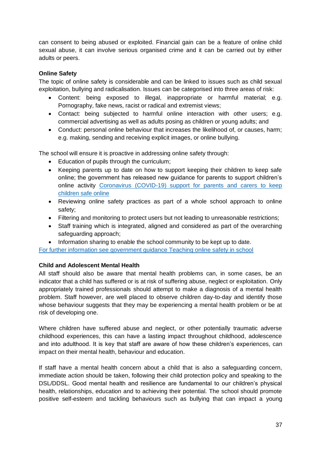can consent to being abused or exploited. Financial gain can be a feature of online child sexual abuse, it can involve serious organised crime and it can be carried out by either adults or peers.

# **Online Safety**

The topic of online safety is considerable and can be linked to issues such as child sexual exploitation, bullying and radicalisation. Issues can be categorised into three areas of risk:

- Content: being exposed to illegal, inappropriate or harmful material; e.g. Pornography, fake news, racist or radical and extremist views;
- Contact: being subjected to harmful online interaction with other users; e.g. commercial advertising as well as adults posing as children or young adults; and
- Conduct: personal online behaviour that increases the likelihood of, or causes, harm; e.g. making, sending and receiving explicit images, or online bullying.

The school will ensure it is proactive in addressing online safety through:

- Education of pupils through the curriculum;
- Keeping parents up to date on how to support keeping their children to keep safe online; the government has released new guidance for parents to support children's online activity [Coronavirus \(COVID-19\) support for parents and carers to keep](https://www.gov.uk/government/publications/coronavirus-covid-19-keeping-children-safe-online/coronavirus-covid-19-support-for-parents-and-carers-to-keep-children-safe-online)  [children safe online](https://www.gov.uk/government/publications/coronavirus-covid-19-keeping-children-safe-online/coronavirus-covid-19-support-for-parents-and-carers-to-keep-children-safe-online)
- Reviewing online safety practices as part of a whole school approach to online safety;
- Filtering and monitoring to protect users but not leading to unreasonable restrictions;
- Staff training which is integrated, aligned and considered as part of the overarching safeguarding approach;
- Information sharing to enable the school community to be kept up to date.

[For further information see government guidance Teaching online safety in school](https://www.gov.uk/government/publications/teaching-online-safety-in-schools)

# **Child and Adolescent Mental Health**

All staff should also be aware that mental health problems can, in some cases, be an indicator that a child has suffered or is at risk of suffering abuse, neglect or exploitation. Only appropriately trained professionals should attempt to make a diagnosis of a mental health problem. Staff however, are well placed to observe children day-to-day and identify those whose behaviour suggests that they may be experiencing a mental health problem or be at risk of developing one.

Where children have suffered abuse and neglect, or other potentially traumatic adverse childhood experiences, this can have a lasting impact throughout childhood, adolescence and into adulthood. It is key that staff are aware of how these children's experiences, can impact on their mental health, behaviour and education.

If staff have a mental health concern about a child that is also a safeguarding concern, immediate action should be taken, following their child protection policy and speaking to the DSL/DDSL. Good mental health and resilience are fundamental to our children's physical health, relationships, education and to achieving their potential. The school should promote positive self-esteem and tackling behaviours such as bullying that can impact a young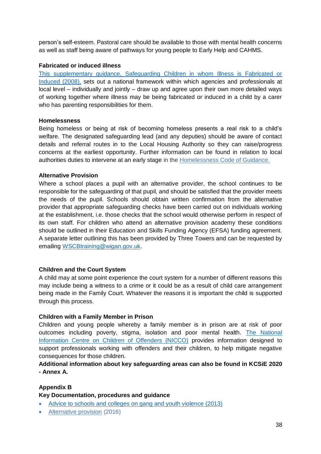person's self-esteem. Pastoral care should be available to those with mental health concerns as well as staff being aware of pathways for young people to Early Help and CAHMS.

## **Fabricated or induced illness**

[This supplementary guidance, Safeguarding Children in whom Illness is Fabricated or](https://www.gov.uk/government/publications/safeguarding-children-in-whom-illness-is-fabricated-or-induced)  [Induced \(2008\),](https://www.gov.uk/government/publications/safeguarding-children-in-whom-illness-is-fabricated-or-induced) sets out a national framework within which agencies and professionals at local level – individually and jointly – draw up and agree upon their own more detailed ways of working together where illness may be being fabricated or induced in a child by a carer who has parenting responsibilities for them.

#### **Homelessness**

Being homeless or being at risk of becoming homeless presents a real risk to a child's welfare. The designated safeguarding lead (and any deputies) should be aware of contact details and referral routes in to the Local Housing Authority so they can raise/progress concerns at the earliest opportunity. Further information can be found in relation to local authorities duties to intervene at an early stage in the [Homelessness](https://www.gov.uk/guidance/homelessness-code-of-guidance-for-local-authorities) Code of Guidance.

#### **Alternative Provision**

Where a school places a pupil with an alternative provider, the school continues to be responsible for the safeguarding of that pupil, and should be satisfied that the provider meets the needs of the pupil. Schools should obtain written confirmation from the alternative provider that appropriate safeguarding checks have been carried out on individuals working at the establishment, i.e. those checks that the school would otherwise perform in respect of its own staff. For children who attend an alternative provision academy these conditions should be outlined in their Education and Skills Funding Agency (EFSA) funding agreement. A separate letter outlining this has been provided by Three Towers and can be requested by emailing [WSCBtraining@wigan.gov.uk.](mailto:WSCBtraining@wigan.gov.uk)

# **Children and the Court System**

A child may at some point experience the court system for a number of different reasons this may include being a witness to a crime or it could be as a result of child care arrangement being made in the Family Court. Whatever the reasons it is important the child is supported through this process.

# **Children with a Family Member in Prison**

Children and young people whereby a family member is in prison are at risk of poor outcomes including poverty, stigma, isolation and poor mental health. [The National](https://www.nicco.org.uk/)  [Information Centre on Children of Offenders \(NICCO\)](https://www.nicco.org.uk/) provides information designed to support professionals working with offenders and their children, to help mitigate negative consequences for those children.

# **Additional information about key safeguarding areas can also be found in KCSiE 2020 - Annex A.**

# **Appendix B**

**Key Documentation, procedures and guidance**

- [Advice to schools and colleges on gang and youth violence \(2013\)](https://www.gov.uk/government/publications/advice-to-schools-and-colleges-on-gangs-and-youth-violence)
- [Alternative provision](https://www.gov.uk/government/publications/alternative-provision) (2016)